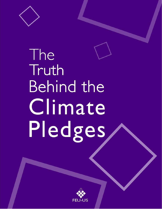

# The Truth **Behind the** Climate Pledges

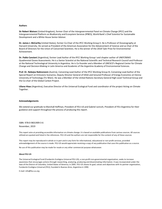#### **Authors**

**Sir Robert Watson** (United Kingdom), former Chair of the Intergovernmental Panel on Climate Change (IPCC) and the Intergovernmental Platform on Biodiversity and Ecosystem Services (IPBES), World Bank's Chief Scientist for Sustainable Development and a White House Senior Adviser.

**Dr. James J. McCarthy** (United States), former Co-Chair of the IPCC Working Group II. He is Professor of Oceanography at Harvard University. He served as President of the American Association for the Advancement of Science and as Chair of the Board of Directors for the Union of Concerned Scientists. He is the winner of the 2018 Tyler Prize for Environmental Achievement.

**Dr. Pablo Canziani** (Argentina), former Lead Author of the IPCC Working Group I and chapter author of UNEP/WMO Quadrennial Ozone Assessments. He is a Senior Scientist at the National Scientific and Technical Research Council and Professor at the National Technological University in Argentina. He is Co-founder and a Member of UNESCO's Regional Center for Climate Change and Decision-Making in Latin America and Academic of the Argentine Academy of Environmental Sciences.

**Prof. Dr. Nebojsa Nakicenovic** (Austria), Convening Lead Author of the IPCC Working Group III, Convening Lead Author of the Special Report on Emissions Scenarios, Deputy Director General of IIASA and tenured Professor of Energy Economics at Vienna University of Technology (TU Wien). He was a Member of the United Nations Secretary General High-Level Technical Group and the Co-chair of the Global Carbon Project.

**Liliana Hisas** (Argentina), Executive Director of the Universal Ecological Fund and coordinator of the project Acting on Climate Together.

#### **Acknowledgements**

We extend our gratitude to Marshall Hoffman, President of FEU-US and Gabriel Juricich, President of FEU Argentina for their guidance and support throughout the process of producing this report.

ISBN: 978-0-9831909-3-6 November, 2019

This report aims at providing accessible information on climate change. It is based on available publications from various sources. All sources utilized are quoted and listed in the references. FEU-US and the authors are not responsible for the content of any of these sources.

This report may be reproduced in whole or in part and in any form for informational, educational or non-profit services, provided acknowledgement of the source is made. FEU-US would appreciate receiving a copy of any publication that uses this publication as a source.

No use of this publication may be made for resale or any other commercial purpose whatsoever.

#### **About FEU-US**

The Universal Ecological Fund (Fundación Ecológica Universal FEU-US), a non-profit non-governmental organization, seeks to increase awareness that encourages actions through researching, analyzing, producing and disseminating information. It was incorporated under the laws of the District of Columbia, United States of America, in 2005. FEU-US shares its goal, values and objectives with its partner organization, Fundación Ecológica Universal (FEU), founded in Buenos Aires, Argentina in 1990.

E-mail: info@feu-us.org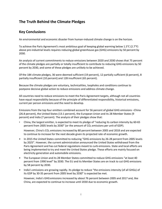# **The Truth Behind the Climate Pledges**

## **Key Conclusions**

An environmental and economic disaster from human-induced climate change is on the horizon.

To achieve the Paris Agreement's most ambitious goal of keeping global warming below 1.5°C (2.7°F) above pre-industrial levels requires reducing global greenhouse gas (GHG) emissions by 50 percent by 2030.

An analysis of current commitments to reduce emissions between 2020 and 2030 shows that 75 percent of the climate pledges are partially or totally insufficient to contribute to reducing GHG emissions by 50 percent by 2030, and some of these pledges are unlikely to be achieved.

Of the 184 climate pledges, 36 were deemed sufficient (19 percent), 12 partially sufficient (6 percent), 8 partially insufficient (10 percent) and 128 insufficient (65 percent).

Because the climate pledges are voluntary, technicalities, loopholes and conditions continue to postpone decisive global action to reduce emissions and address climate change.

All countries need to reduce emissions to meet the Paris Agreement targets, although not all countries have equal responsibility because of the principle of differentiated responsibility, historical emissions, current per person emissions and the need to develop.

Emissions from the top four emitters combined account for 56 percent of global GHG emissions –China (26.8 percent), the United States (13.1 percent), the European Union and its 28 Member States (9 percent) and India (7 percent). The analysis of their pledges show that:

• China, the largest emitter, is expected to meet its pledge of "reducing its carbon intensity by 60-65 percent from 2005 levels by 2030" (or the amount of  $CO<sub>2</sub>$  emissions per unit of GDP).

However, China's CO<sub>2</sub> emissions increased by 80 percent between 2005 and 2018 and are expected to continue to increase for the next decade given its projected rate of economic growth.

- In 2015 the United States committed to reducing "GHG emissions by 26-28 percent from 2005 levels by 2025". However, the current administration announced the United States withdrawal from the Paris Agreement and has cut federal regulations meant to curb emissions. State and local efforts are being implemented to try and meet the United States pledge. These efforts are mainly focused on electricity generation and automobile emissions.
- The European Union and its 28 Member States committed to reduce GHG emissions "at least 40 percent from 1990 level" by 2030. The EU and its Member States are on track to cut GHG emissions by 58 percent by 2030.
- India's emissions are growing rapidly. Its pledge to reduce "the emissions intensity (of all GHGs) of its GDP by 30-35 percent from 2005 level by 2030" is expected be met.

However, India's GHGemissions increased by about 76 percent between 2005 and 2017 and, like China, are expected to continue to increase until 2030 due to economic growth.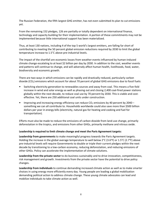The Russian Federation, the fifth largest GHG emitter, has not even submitted its plan to cut emissions yet.

From the remaining 152 pledges, 126 are partially or totally dependent on international finance, technology and capacity building for their implementation. A portion of these commitments may not be implemented because little international support has been materialized.

Thus, at least 130 nations, including 4 of the top 5 world's largest emitters, are falling far short of contributing to meeting the 50 percent global emission reductions required by 2030 to limit the global temperature increase to 1.5°C above pre-industrial levels.

The impact of the shortfall are economic losses from weather events influenced by human-induced climate change escalating to at least \$2 billion per day by 2030. In addition to the cost, weather events and patterns will continue to change, and will adversely affect human health, livelihoods, food, water, biodiversity and economic growth.

There are two ways in which emissions can be rapidly and drastically reduced, particularly carbon dioxide (CO<sub>2</sub>) emissions which account for about 70 percent of global GHG emissions due to fossil fuels:

- Switching electricity generation to renewables sources and away from coal. This means a five-fold increase in wind and solar energy as well as phasing out and closing 2,400 coal-fired power stations globally within the next decade, to reduce coal use by 70 percent by 2030. This is viable and costeffective. Yet, there are 250 additional coal units under construction.
- Improving and increasing energy efficiency can reduce  $CO<sub>2</sub>$  emissions by 40 percent by 2040 something we can all contribute to. Households worldwide could also save more than \$500 billion dollars per year in energy bills (electricity, natural gas for heating and cooking and fuel for transportation).

Efforts must also be made to reduce the emissions of carbon dioxide from land-use change, primarily deforestation in the tropics, and emissions from other GHGs, primarily methane and nitrous oxide.

#### **Leadership is required to limit climate change and meet the Paris Agreement targets:**

**Leadership from governments** to make meaningful progress towards the Paris Agreement targets. Holding the increase in the global average temperature to well below  $2^{\circ}$ C (3.6°F) or 1.5°C (2.7°F) above pre-industrial levels will require Governments to double or triple their current pledges within the next decade by transitioning to a low-carbon economy, reducing deforestation, and reducing emissions of other GHGs. Policy can accelerate the implementation of climate solutions.

**Leadership from the private sector** to do business sustainably and to drive innovation, competitiveness, risk management and growth. Investments from the private sector have the potential to drive policy changes.

**Leadership from individuals** to continue demanding increased climate action as well as to make smarter choices in using energy more efficiently every day. Young people are leading a global mobilization demanding political action to address climate change. These young climate advocates can lead and mobilize individuals to take climate action as well.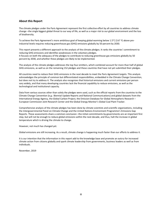#### **About this Report**

The climate pledges under the Paris Agreement represent the first collective effort by all countries to address climate change –the single biggest global threat to our way of life, as well as a major risk to our global environment and the loss of biodiversity.

To achieve the Paris Agreement's more ambitious goal of keeping global warming below 1.5°C (3.6° F) above preindustrial levels requires reducing greenhouse gas (GHG) emissions globally by 50 percent by 2030.

This report presents a different approach to the analysis of the climate pledges. It ranks the countries' commitment to reducing GHG emissions and identifies weaknesses in the voluntary pledges. It focuses on both the adequacy of the pledges to contribute to reducing greenhouse gas emissions globally by 50 percent by 2030, and whether these pledges are likely to be implemented.

The analysis of the climate pledges addresses the top four emitters, which combined account for more than half of global GHG emissions, as well as on the remaining 152 pledges and those countries that have not yet submitted their pledges.

All countries need to reduce their GHG emissions in the next decade to meet the Paris Agreement targets. This analysis acknowledges the principle of common but differentiated responsibilities, embedded in the Climate Change Convention, but does not try to address it. The analysis also recognizes that historical emissions and current emissions per person vary widely, and that many developing countries lack the financial capability to reduce emissions, as well as the technological and institutional capacity.

Data from various sources other than solely the pledges were used, such as the official reports from the countries to the Climate Change Convention (e.g.: Biennial Update Reports and National Communications) and global datasets from the International Energy Agency, the Global Carbon Project, the Emission Database for Global Atmospheric Research – European Commission Joint Research Center and the Global Energy Monitor's Global Coal Plant Tracker.

Comprehensive analysis of the climate pledges has been done by climate scientists and scientific organizations, including the Intergovernmental Panel on Climate Change and the United Nations Environment Programme's Emissions Gap Reports. These assessments share a common conclusion –the initial commitments by governments are an important first step, but will not be enough to reduce global emissions within the next decade, and thus, halt the increase in global temperature which is driving the climate to change.

However, not much has changed yet.

Global emissions are still increasing. As a result, climate change is happening much faster than our efforts to address it.

It is our intention that the information in this report add to the knowledge base and promote an outcry for increased climate action from citizens globally and spark climate leadership from governments, business leaders as well as from individuals.

November, 2019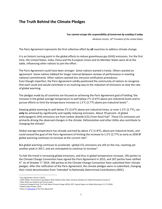# **The Truth Behind the Climate Pledges**

#### *You cannot escape the responsibility of tomorrow by evading it today*

*Abraham Lincoln, 16th President of the United States*

The Paris Agreement represents the first collective effort by **all** countries to address climate change.

It is an historic turning point in the global efforts to reduce greenhouse gas (GHG) emissions. For the first time, the United States, India, China and the European Union and its Member States were all at the table, influencing other nations to join the effort.

The Paris Agreement could have been stronger. Some nations wanted a treaty. Others wanted an agreement. Some nations lobbied for longer interval between reviews of performance in meeting national commitments. Other nations wanted less intrusive verification procedures. Even though imperfect, the Paris Agreement solidly positioned the community of nations to recognize that each could and would contribute in an evolving way to the reduction of emissions to slow the rate of global warming.

The pledges made by all countries are focused on achieving the Paris Agreement goal of holding 'the increase in the global average temperature to well below  $2^{\circ}$ C (3.6 $^{\circ}$ F) above pre-industrial levels and to pursue efforts to limit the temperature increase to [1](#page-5-0).5°C (2.7°F) above pre-industrial levels<sup>1</sup>.

Keeping global warming to well below 2°C (3.6°F) above pre-industrial times, or even 1.5°C (2.7°F), can **only** be achieved by significantly and rapidly reducing emissions. About 70 percent of global anthropogenic GHG emissions are from carbon dioxide (CO<sub>[2](#page-5-1)</sub>) from fossil fuel<sup>2</sup>. These CO<sub>2</sub> emissions are primarily driving the observed changes in the climate. Deforestation and other GHGs also contribute to changing the climate<sup>3</sup>.

Global average temperature has already warmed by about 1°C (1.8°F), above pre-industrial levels, and could exceed the goal of the Paris Agreement of limiting the increase to 1.5°C (2.7°F) as early as 2030 if global warming continues to increase at the current rate<sup>[4](#page-5-3)</sup>.

But global warming continues to accelerate -global  $CO<sub>2</sub>$  emissions are still on the rise, reaching yet another peak in 2017, and are anticipated to continue to increase<sup>[5](#page-5-4)</sup>.

To halt the trend in increasing global emissions, and thus in global temperature increase, 195 parties to the Climate Change Convention have signed the Paris Agreement in 2015, and 187 parties have ratified it<sup>[6](#page-5-5)</sup>. As of October 1<sup>st</sup> 2019, 184 parties to the Climate Change Convention have submitted their climate pledges. After the ratification of the Paris Agreement, the climate pledges were re-submitted, changing their initial denomination from 'Intended' to Nationally Determined Contributions (NDC).

<span id="page-5-0"></span><sup>1</sup> Paris Agreement, Article 2 (2015)

<span id="page-5-1"></span><sup>2</sup> UNEP (2018). The Emissions Gap Report 2018, Global Carbon Atlas, Emission Database for Global Atmospheric Research

<span id="page-5-2"></span><sup>3</sup> Other GHGs are methane and nitrous oxide

<span id="page-5-3"></span><sup>4</sup> Universal Ecological Fund: The Truth About Climate Change (2016), IPCC: Special Report on Global Warming of 1.5°C (2018)

<span id="page-5-4"></span><sup>5</sup> Global Carbon Project, 2018

<span id="page-5-5"></span><sup>&</sup>lt;sup>6</sup> Status of **ratification** of the Paris Agreement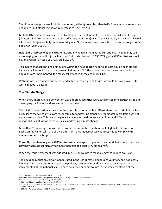The climate pledges, even if fully implemented, will only cover less than half of the emission reductions needed to limit global temperature increase to  $1.5^{\circ}$ C by 2030<sup>[7](#page-6-0)</sup>.

Global GHG emissions have increased by about 20 percent in the last decade –from 44.7 GtCO<sub>2</sub>-eq (gigatons of all GHGs combined expressed as  $CO<sub>2</sub>$  equivalent) in 2010 to 53.5 GtCO<sub>2</sub>-eq in 2017<sup>[8](#page-6-1)</sup>. Even if all climate pledges are fully implemented, global GHG emissions are projected to be, on average, 54 (50- 58) GtCO<sub>2</sub>-eq in 2030<sup>[9](#page-6-2)</sup>.

Halting the increase of global GHG emissions and keeping them at the current level in 2030 may seem encouraging to some. It is just a first step. But to stay below 1.5°C (2.7°F), global GHG emissions should be, on average, 27 (25-30) GtCO<sub>2</sub>-eq in 2030<sup>10</sup>.

This means that action to half emissions within the next decade need to at least double or triple and increase by five-fold to reach net zero emissions by 2050.The sooner decisive measures to reduce emissions are implemented, the most cost-effective these actions will be.

Without massive changes and active leadership in the very near future, we could be living in a 1.5°C world in about a decade.

#### **The Climate Pledges**

When the Climate Change Convention was adopted, countries were categorized into industrialized and developing (or Annex I and Non-Annex I countries).

This 1992 categorization is based on the principle of common but differentiated responsibilities, which establishes that all countries are responsible for addressing global environmental degradation yet not equally responsible. This key principle acknowledges the different capabilities and differing responsibilities of individual countries in addressing climate change.

More than 20 years ago, industrialized countries accounted for about half of global GHG emissions. Based on the historical share of GHG emissions, only industrialized countries had to comply with emission reduction targets $^{11}$ .

Currently, the share of global GHG emissions has changed. Upper and lower middle-income countries currently account collectively for more than half of global GHG emissions $^{12}$ .

When the Paris Agreement was adopted in 2015, all countries made pledges to reduce emissions.

The emission reduction commitments stated in the 184 climate pledges are voluntary and not legally binding. These commitments depend on policies, technologies and practices to be adopted and implemented at the national level in each country. For some countries, the implementation of the

<span id="page-6-0"></span><sup>7</sup> IPCC: Special Report on Global Warming of 1.5°C (2018)

<span id="page-6-1"></span><sup>8</sup> Emission Database for Global Atmospheric Research, UNEP (2018). The Emissions Gap Report 2018

<sup>&</sup>lt;sup>9</sup> IPCC Special Report on Global Warming of 1.5°C (2018)

<span id="page-6-3"></span><span id="page-6-2"></span><sup>10</sup> IPCC Special Report on Global Warming of 1.5°C (2018)

<span id="page-6-4"></span><sup>11</sup> Under the Kyoto Protocol, industrialized countries committed to emission reductions: 5% below 1990 level between 2008-2012 and 18% below 1990 level between 2013-2020

<span id="page-6-5"></span><sup>12</sup> IPCC, Fifth Assessment Report (AR5), Working Group III, Chapter 1 (2014)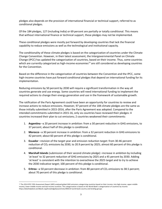pledges also depends on the provision of international financial or technical support, referred to as conditional pledges.

Of the 184 pledges, 127 (including India) or 69 percent are partially or totally conditional. This means that without international finance or technical support, these pledges may not be implemented.

These conditional pledges were mostly put forward by developing countries that lack the financial capability to reduce emissions as well as the technological and institutional capacity.

The conditionality of these climate pledges is based on the categorization of countries under the Climate Change Convention. However, in their latest assessment, the Intergovernmental Panel on Climate Change (IPCC) has updated the categorization of countries, based on their income. Thus, some countries which are currently categorized as high-income economies<sup>[13](#page-7-0)</sup> are still considered as developing countries for the Convention.

Based on the difference in the categorization of countries between the Convention and the IPCC, some high-income countries have put forward conditional pledges that depend on international funding for its implementation.

Reducing emissions by 50 percent by 2030 will require a significant transformation in the way all countries generate and use energy. Some countries will need international funding to implement the required actions to change their energy generation and use in the framework of sustainable growth.

The ratification of the Paris Agreement could have been an opportunity for countries to review and increase actions to reduce emissions. However, 97 percent of the 184 climate pledges are the same as those initially submitted in 2015-2016, after the Paris Agreement was adopted. Compared to the intended commitments submitted in 2015-16, only six countries have reviewed their pledges: 4 countries increased their plan to cut emissions; 2 countries weakened their commitments:

- 1. **Argentina** –a 20 percent increase in ambition: from a 30 percent reduction in GHG emissions, to 37 percent; about half of this pledge is conditional.
- 2. **Morocco** –a 30 percent increase in ambition: from a 32 percent reduction in GHG emissions to 42 percent; about 60 percent of this pledge is conditional.
- 3. **Ecuador** –revision of the target year and emission reduction target: from 30-46 percent reduction of CO<sub>2</sub> emissions by 2030, to 20.9 percent by 2025; almost 60 percent of this pledge is conditional.
- 4. **Marshall Islands** (submission of their second climate pledge) –increase in ambition by including 'at least' to 32 percent reduction of GHG emissions by 2025 and a 45 percent by 2030. Adding 'at least' is consistent with the intention to overachieve the 2025 target and to try to achieve the 2030 indicative target; 100 percent of this pledge is conditional.
- 5. **Eritrea** -a 50 percent decrease in ambition: from 80 percent of CO<sub>2</sub> emissions to 38.5 percent; about 70 percent of this pledge is conditional.

<span id="page-7-0"></span><sup>&</sup>lt;sup>13</sup> The 2014 IPCC Fifth Assessment Report (AR5) analyzed global GHG emissions categorizing countries based on their income, into high-income, upper-middle income, lower-middle income and low-income countries. This categorization is based on the World Bank's categorization of countries by income: https://datahelpdesk.worldbank.org/knowledgebase/articles/906519-world-bank-country-and-lending-groups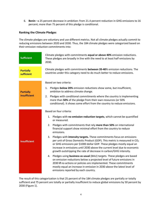6. **Benin** –a 25 percent decrease in ambition: from 21.4 percent reduction in GHG emissions to 16 percent; more than 75 percent of this pledge is conditional.

#### **Ranking the Climate Pledges**

The climate pledges are voluntary and use different metrics. Not all climate pledges actually commit to reducing emissions between 2020 and 2030. Thus, the 184 climate pledges were categorized based on their emission reduction commitments into:

| <b>Sufficient</b>              | Climate pledges with commitments equal or above 40% emission reductions.<br>These pledges are broadly in line with the need to at least half emissions by<br>2030.                                                                                                                                                                                                                           |  |  |  |  |  |  |  |
|--------------------------------|----------------------------------------------------------------------------------------------------------------------------------------------------------------------------------------------------------------------------------------------------------------------------------------------------------------------------------------------------------------------------------------------|--|--|--|--|--|--|--|
| <b>Partially</b><br>sufficient | Climate pledges with commitments between 20-40% emission reductions. The<br>countries under this category need to do much better to reduce emissions.                                                                                                                                                                                                                                        |  |  |  |  |  |  |  |
|                                | Based on two criteria:                                                                                                                                                                                                                                                                                                                                                                       |  |  |  |  |  |  |  |
| <b>Partially</b>               | Pledges below 20% emission reductions show some, but insufficient,<br>1.<br>ambition to address climate change.                                                                                                                                                                                                                                                                              |  |  |  |  |  |  |  |
| insufficient                   | Pledges with conditional commitments where the country is implementing<br>2.<br>more than 50% of the pledge from their own resources (or 50%<br>conditional). It shows some effort from the country to reduce emissions.                                                                                                                                                                     |  |  |  |  |  |  |  |
|                                |                                                                                                                                                                                                                                                                                                                                                                                              |  |  |  |  |  |  |  |
|                                | Based on four criteria:                                                                                                                                                                                                                                                                                                                                                                      |  |  |  |  |  |  |  |
|                                | Pledges with no emission reduction targets, which cannot be quantified<br>1.<br>or measured.                                                                                                                                                                                                                                                                                                 |  |  |  |  |  |  |  |
| <b>Insufficient</b>            | Pledges with commitments that rely more than 50% on international<br>2.<br>financial support show minimal effort from the country to reduce<br>emissions.                                                                                                                                                                                                                                    |  |  |  |  |  |  |  |
|                                | Pledges with intensity targets. These commitments focus on emissions<br>3.<br>per unit of Gross Domestic Product (GDP). This metric is measured in CO <sub>2</sub><br>or GHG emissions per \$1000 dollar GDP. These pledges mostly equal an<br>increase in emissions until 2030 above the current level due to economic<br>growth outstripping the rate of decrease in carbon/GHG intensity. |  |  |  |  |  |  |  |
|                                | Pledges using business as usual (BAU) targets. These pledges are based<br>4.<br>on emission reductions below a projected level of future emissions in<br>2030 if no actions or policies are implemented. These commitments<br>mostly equal an increase in emission in 2030 above the latest level of<br>emissions reported by each country.                                                  |  |  |  |  |  |  |  |

The result of this categorization is that 25 percent of the 184 climate pledges are partially or totally sufficient and 75 percent are totally or partially insufficient to reduce global emissions by 50 percent by 2030 (Figure 1).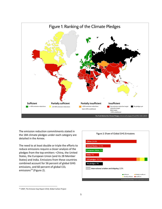

The emission reduction commitments stated in the 184 climate pledges under each category are detailed in the Annex.

The need to at least double or triple the efforts to reduce emissions require a closer analysis of the pledges from the top emitters –China, the United States, the European Union (and its 28 Member States) and India. Emissions from these countries combined account for 56 percent of global GHG emissions, and 60 percent of global CO<sub>2</sub> emissions<sup>[14](#page-9-0)</sup> (Figure 2).

| Figure 2: Share of Global GHG Emissions                                      |
|------------------------------------------------------------------------------|
| <b>China: 26.8%</b>                                                          |
| <b>United States: 13.1%</b>                                                  |
| <b>European Union: 9%</b>                                                    |
| India: 7%                                                                    |
| 152 pledges: 32.5%                                                           |
| No pledges: 9%                                                               |
| International aviation and shipping: 2.5%                                    |
| Sufficient<br>Partially Insufficient<br>Partially sufficient<br>Insufficient |

<span id="page-9-0"></span><sup>14</sup> UNEP, The Emission Gap Report 2018, Global Carbon Project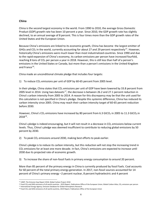#### **China**

China is the second largest economy in the world. From 1990 to 2010, the average Gross Domestic Product (GDP) growth rate has been 10 percent a year. Since 2010, the GDP growth rate has slightly declined, to an annual average of 8 percent. This is four times more than the GDP growth rates of the United States and the European Union.

Because China's emissions are linked to its economic growth, China has become the largest emitter of GHGs and  $CO<sub>2</sub>$  in the world, currently accounting for about 27 and 29 percent respectively<sup>[15](#page-10-0)</sup>. However, historically China's emissions were much lower than most industrialized countries. Since 1990 and due to the rapid expansion of China's economy, its carbon emissions per person have increased fourfold, reaching 8 tons of  $CO<sub>2</sub>$  per person a year in 2018. However, this is still less than half of a person's emissions in the United States or Canada, but more than a person's emissions in the United Kingdom and France<sup>[16](#page-10-1)</sup>.

China made an unconditional climate pledge that includes four targets:

1) To reduce  $CO<sub>2</sub>$  emissions per unit of GDP by 60-65 percent from 2005 level.

In their pledge, China states that  $CO<sub>2</sub>$  emissions per unit of GDP have been lowered by 33.8 percent from 2005 level in 2014. Using two datasets<sup>[17](#page-10-2)</sup>, the decrease is between 26.2 and 27.1 percent reduction in China's carbon intensity from 2005 to 2014. A reason for this discrepancy may be that the unit used for this calculation is not specified in China's pledge. Despite this systemic difference, China has reduced its carbon intensity since 2005. China may reach their carbon intensity target of 60-65 percent reduction before 2030.

However, China's CO<sub>2</sub> emissions have increased by 80 percent from 6.3 GtCO<sub>2</sub> in 2005 to 11.3 GtCO<sub>2</sub> in 2018[18](#page-10-3).

China's pledge is indeed encouraging, but it will not result in a decrease in  $CO<sub>2</sub>$  emissions below current levels. Thus, China's pledge was deemed insufficient to contribute to reducing global emissions by 50 percent by 2030.

2) To peak  $CO<sub>2</sub>$  emissions around 2030, making best efforts to peak earlier.

China's pledge is to reduce its carbon intensity, but this reduction will not stop the increasing trend in  $CO<sub>2</sub>$  emissions for at least one more decade. In fact, China's emissions are expected to increase until 2030 due its projected rate of economic growth.

3) To increase the share of non-fossil fuels in primary energy consumption to around 20 percent.

More than 85 percent of the primary energy in China is currently produced by fossil fuels. Coal accounts for 60 percent of the total primary energy generation. In 2017, non-fossil sources accounted for 14 percent of China's primary energy –2 percent nuclear, 8 percent hydroelectric and 4 percent

<span id="page-10-0"></span><sup>15</sup> UNEP, The Emission Gap Report 2018, Global Carbon Project 2018

<span id="page-10-2"></span><span id="page-10-1"></span><sup>&</sup>lt;sup>16</sup> Fossil CO<sub>2</sub> and GHG emissions of all world countries - 2019 Report, Publications Office of the European Union; Global Carbon Atlas, CO<sub>2</sub> emissions per person  $^{17}$  International Energy Agency; Emission Database fo

<span id="page-10-3"></span><sup>&</sup>lt;sup>18</sup> Fossil CO<sub>2</sub> and GHG emissions of all world countries, 2019 Report, Publications Office of the European Union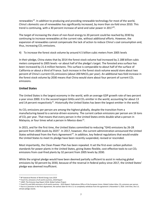renewables<sup>19</sup>. In addition to producing and providing renewable technology for most of the world, China's domestic use of renewables has significantly increased, by more than six-fold since 2010. This trend is continuing, with a 30 percent increase of wind and solar power in  $2017^{20}$  $2017^{20}$ .

The target of increasing the share of non-fossil energy to 20 percent could be reached by 2030 by continuing to increase renewables at the current rate, without additional efforts. However, the expansion of renewables cannot compensate the lack of action to reduce China's coal consumption and, thus, increasing  $CO<sub>2</sub>$  emissions.

4) To increase the forest stock volume by around 4.5 billion cubic meters from 2005 levels

In their pledge, China states that by 2014 the forest stock volume had increased by 2.188 billion cubic meters compared to 2005 levels –or about half of the pledge's target. The forested area surface has been increased by 21.6 million hectares. This surface is comparable to about half of the surface of California or about a third of France. Such increase in the forest stock volume would store about two percent of China's current CO<sub>2</sub> emissions (about 200 MtCO<sub>2</sub> per year). An additional two-fold increase in the forest stock volume by 2030 means that China would store about four percent of current  $CO<sub>2</sub>$ emissions.

### **United States**

The United States is the largest economy in the world, with an average GDP growth rate of two percent a year since 2000. It is the second largest GHGs and CO<sub>2</sub> emitter in the world, accounting for about 13 and 14 percent respectively<sup>21</sup>. Historically the United States has been the largest emitter in the world.

Its CO2 emissions per person are among the highest globally*,* despite the transition from a manufacturing-based to a service-driven economy. The current carbon emissions per person are 16 tons of CO<sub>2</sub> per year. That means that every person in the United States emits double what a person in Malaysia, or four times what a person in Mexico does $^{22}$ .

In 2015, and for the first time, the United States committed to reducing "GHG emissions by 26-28 percent from 2005 levels by 2025". In 2017, however, the current administration announced the United States withdrawal from the Paris Agreement<sup>[23](#page-11-4)</sup>. In addition, key federal regulations that would enable the United States to meet its pledge have been recently suspended, revised or rescinded.

Most importantly, the Clean Power Plan has been repealed. It set the first-ever carbon pollution standards for power plants in the United States, giving States flexible, cost-effective tools to cut  $CO<sub>2</sub>$ emissions from coal-fired plants by 32 percent from 2005 levels by 2030.

While the original pledge would have been deemed partially sufficient to assist in reducing global emissions by 50 percent by 2030, because of the reversal in federal policy since 2017, the United States' pledge was deemed insufficient.

<span id="page-11-0"></span><sup>19</sup> BP Statistical Review of World Energy June 2019

<span id="page-11-1"></span> $20$  Fossil CO<sub>2</sub> emissions of all world countries, 2018 Report

<span id="page-11-2"></span><sup>21</sup> UNEP, The Emission Gap Report 2018, Global Carbon Project

<span id="page-11-4"></span><span id="page-11-3"></span> $^{22}$  Fossil CO<sub>2</sub> and GHG emissions of all world countries - 2019 Report, Publications Office of the European Union; Global Carbon Atlas, CO<sub>2</sub> emissions per person<br><sup>23</sup> Due to a provision in the Paris Agreement, the ea climate pledge stands.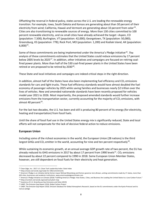Offsetting the reversal in federal policy, states across the U.S. are leading the renewable energy transition. For example, Iowa, South Dakota and Kansas are generating about than 30 percent of their electricity from wind; California, Hawaii and Vermont are generating about 10 percent from solar<sup>[24](#page-12-0)</sup>. Cities are also transitioning to renewable sources of energy. More than 130 cities committed to 100 percent renewable electricity, and six small cities have already achieved the target –Aspen, CO (population: 7,500); Burlington, VT (population: 42,000); Georgetown, TX (population: 50,000); Greensburg, KS (population: 778); Rock Port, MO (population: 1,200) and Kodiak Island, AK (population:  $(6,000)^{25}$  $(6,000)^{25}$  $(6,000)^{25}$ .

Some of these commitments are being implemented under the America's Pledge initiative<sup>[26](#page-12-2)</sup>. The analysis of these commitments estimates that the United States could reduce emissions by 17 percent below 2005 levels by 2025<sup>27</sup>. In addition, other initiatives and campaigns are focused on retiring coalfired power plants. More than half of the 530 coal-fired power plants in the United States have been retired or are proposed to be retired by  $2030^{28}$  $2030^{28}$  $2030^{28}$ .

These State and local initiatives and campaigns are indeed critical steps in the right direction.

In addition, almost half of the States have also been implementing fuel efficiency and  $CO<sub>2</sub>$  emissions standards for cars and light trucks. These fuel efficiency standards would have almost doubled the fuel economy of passenger vehicles by 2025 while saving families and businesses nearly \$2 trillion over the lives of vehicles. New and amended nationwide standards have been recently proposed for vehicles model year 2021 to 2026. Most importantly, the proposed amended standards would further increase emissions from the transportation sector, currently accounting for the majority of  $CO<sub>2</sub>$  emissions, with almost 40 percent $^{29}$ .

For the last two decades, the U.S. has been and still is producing 80 percent of its energy (for electricity, heating and transportation) from fossil fuels.

Until the share of fossil fuel use in the United States energy mix is significantly reduced, State and local efforts will not compensate for the lack of decisive federal action to reduce emissions.

#### **European Union**

Including some of the richest economies in the world, the European Union (28 nations) is the third largest GHGs and  $CO<sub>2</sub>$  emitter in the world, accounting for nine and ten percent respectively<sup>[30](#page-12-6)</sup>.

While sustaining its economic growth, at an annual average GDP growth rate of two percent, the EU has already reduced its GHG emissions in 2017 by about 17 percent from 1990 levels<sup>31</sup>. CO<sub>2</sub> emissions decreased by about 22 percent compared to 1990 in 2018. Some European Union Member States, however, are still dependent on fossil fuels for their electricity and heat generation.

<span id="page-12-0"></span><sup>&</sup>lt;sup>24</sup> Clean Edge, Inc.: 2017 U.S. Clean Tech Leadership Index: State Index

<span id="page-12-1"></span><sup>25</sup> https://www.sierraclub.org/ready-for-100/commitments

<span id="page-12-2"></span><sup>&</sup>lt;sup>26</sup> America's Pledge is an initiative led by former mayor Michael Bloomberg and former governor Jerry Brown, uniting commitments made by 17 states, more than 450 cities, businesses and academic institutions: www.americaspledgeonclimate.com

<span id="page-12-4"></span><span id="page-12-3"></span><sup>&</sup>lt;sup>27</sup> America's Pledge Initiative on Climate (2018) "Fulfilling America's Pledge: How States, Cities, and Business Are Leading the United States to a Low-Carbon Future." <sup>28</sup> https://content.sierraclub.org/coal/coal-plant-map

<span id="page-12-5"></span><sup>29</sup> Inventory of U.S. Greenhouse Gas Emissions and Sinks (2019)

<span id="page-12-6"></span><sup>30</sup> UNEP, The Emission Gap Report 2018, Global Carbon Project

<span id="page-12-7"></span><sup>31</sup> UNEP, The Emission Gap Report 2018, Emission Database for Global Atmospheric Research, based on the EU commitments under the Kyoto Protocol and its Cancun pledge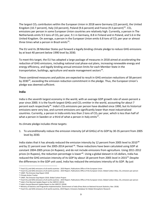The largest  $CO<sub>2</sub>$  contributors within the European Union in 2018 were Germany (22 percent), the United Kingdom (10.7 percent), Italy (10 percent), Poland (9.6 percent) and France (9.3 percent)<sup>[32](#page-13-0)</sup>. CO<sub>2</sub> emissions per person in some European Union countries are relatively high. Currently, a person in The Netherlands emits 9.5 tons of  $CO<sub>2</sub>$  per year, 9.1 in Germany, 8.8 in Finland and in Poland, and 5.6 in the United Kingdom. On average, a person in the European Union emits 6.8 tons of  $CO<sub>2</sub>$  per year or almost three times what a person in Brazil emits $^{33}$ .

The EU and its 28 Member States put forward a legally binding climate pledge to reduce GHG emissions by at least 40 percent below 1990 level by 2030.

To meet this target, the EU has adopted a large package of measures in 2018 aimed at accelerating the reduction of GHG emissions, including national coal phase-out plans, increasing renewable energy and energy efficiency, and legally binding annual emission limits for each Member State in the transportation, buildings, agriculture and waste management sectors<sup>34</sup>.

These combined measures and policies are expected to result in GHG emission reductions of 58 percent by 2030<sup>[35](#page-13-3)</sup>, exceeding the emission reduction commitment in the pledge. Thus, the European Union's pledge was deemed sufficient.

#### **India**

India is the seventh largest economy in the world, with an average GDP growth rate of seven percent a year since 2000. It is the fourth largest GHGs and  $CO<sub>2</sub>$  emitter in the world, accounting for about 7 percent each respectively<sup>[36](#page-13-4)</sup>. India's CO<sub>2</sub> emissions per person have doubled since 1990, but its historical emissions were very low, and current emissions are significantly lower than most industrialized countries. Currently, a person in India emits less than 2 tons of  $CO<sub>2</sub>$  per year, which is less than half of what a person in Sweden or a third of what a person in Italy emits $37$ .

Its climate pledge includes three targets:

1. To unconditionally reduce the emission intensity (of all GHGs) of its GDP by 30-35 percent from 2005 level by 2030.

India states that it has already reduced the emission intensity by 12 percent from 2005 level to 2010<sup>[38](#page-13-6)</sup> and by 21 percent over the 2005-2014 period <sup>[39](#page-13-7)</sup>. These reductions have been calculated using GDP at constant 2004-2005 prices (in Rupees), and do not include emissions from agriculture. Using 2011-2012 prices (in Rupees), the reduction percentage is lower<sup>[40](#page-13-8)</sup>. Using a global dataset in US dollars, India has reduced the GHG emission intensity of its GDP by about 18 percent from 2005 level in 2015<sup>41</sup>. Despite the differences in the GDP unit used, India has reduced the emissions intensity of its GDP. By just

<span id="page-13-0"></span><sup>32</sup> Fossil CO<sub>2</sub> and GHG emissions of all world countries - 2019 Report, Publications Office of the European Union

<span id="page-13-2"></span><span id="page-13-1"></span><sup>&</sup>lt;sup>33</sup> Fossil CO<sub>2</sub> and GHG emissions of all world countries - 2019 Report, Publications Office of the European Union; Global Carbon Atlas, CO<sub>2</sub> emissions per person  $34$  UNEP, The Emission Gap Report 2018

<sup>&</sup>lt;sup>35</sup> Climate Action Tracker

<span id="page-13-4"></span><span id="page-13-3"></span><sup>36</sup> UNEP, The Emission Gap Report 2018, Global Carbon Project

<span id="page-13-5"></span><sup>&</sup>lt;sup>37</sup> Fossil CO<sub>2</sub> and GHG emissions of all world countries - 2019 Report, Publications Office of the European Union; Global Carbon Atlas, CO<sub>2</sub> emissions per person 38 India's First Biennial Update Report to the UNFCCC (2

<span id="page-13-7"></span><span id="page-13-6"></span><sup>39</sup> India's Second Biennial Update Report to the UNFCCC (2018)

<span id="page-13-8"></span><sup>40</sup> Ministry of Statistics and Programme Implementation, Government of India (Press Note on National Account Statistics, Nov. 2018)

<span id="page-13-9"></span><sup>41</sup> Fossil CO2 and GHG emissions of all world countries, 2019 Report, Emissions Database for Global Atmospheric Research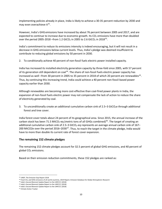implementing policies already in place, India is likely to achieve a 30-35 percent reduction by 2030 and may even overachieve it<sup>[42](#page-14-0)</sup>.

However, India's GHGemissions have increased by about 76 percent between 2005 and 2017, and are expected to continue to increase due to economic growth. Its  $CO<sub>2</sub>$  emissions have more than doubled over the period 2005-2018 –from 1.2 GtCO<sub>2</sub> in 2005 to 2.6 GtCO<sub>2</sub> in 2018<sup>43</sup>.

India's commitment to reduce its emissions intensity is indeed encouraging, but it will not result in a decrease in GHG emissions below current levels. Thus, India's pledge was deemed insufficient to contribute to reducing global emissions by 50 percent in 2030.

2. To conditionally achieve 40 percent of non-fossil fuels electric power installed capacity.

India has increased its installed electricity generation capacity by three-fold since 2005, with 57 percent of its generation still dependent on coal<sup>44</sup>. The share of non-fossil fuels electric power capacity has increased as well –from 30 percent in 2005 to 35 percent in 2018 of which 20 percent are renewables<sup>[45](#page-14-3)</sup>. Thus, by continuing this increasing trend, India could achieve a 40 percent non-fossil-based power capacity earlier than 2030.

Although renewables are becoming more cost-effective than coal-fired power plants in India, the expansion of non-fossil fuels electric power may not compensate the lack of action to reduce the share of electricity generated by coal.

3. To unconditionally create an additional cumulative carbon sink of  $2.5-3$  GtCO<sub>2</sub>e through additional forest and tree cover.

India forest cover totals about 24 percent of its geographical area. Since 2015, the annual increase of the carbon stock has been 71.5 MtCO<sub>2</sub>-eq (metric tons of all GHGs combined)<sup>46</sup>. The target of creating an additional cumulative carbon sink of 2.5–3 GtCO<sub>2</sub>-eq represents an average annual carbon sink of 167– 200 MtCO2e over the period 2016–2030<sup>[47](#page-14-5)</sup>. Thus, to reach the target in the climate pledge, India would have to more than double its current rate of forest cover expansion.

#### **The remaining 152 climate pledges**

The remaining 152 climate pledges account for 32.5 percent of global GHG emissions, and 40 percent of global  $CO<sub>2</sub>$  emissions.

Based on their emission reduction commitments, these 152 pledges are ranked as:

<span id="page-14-1"></span><span id="page-14-0"></span><sup>42</sup> UNEP, The Emission Gap Report 2018

<sup>43</sup> Fossil CO<sub>2</sub> and GHG emissions of all world countries, 2019 Report, Emission Database for Global Atmospheric Research

<sup>44</sup> India's Second Biennial Update Report to the UNFCCC (2018)

<span id="page-14-4"></span><span id="page-14-3"></span><span id="page-14-2"></span><sup>45</sup> India's Second Biennial Update Report to the UNFCCC (2018)

<sup>46</sup> India's Second Biennial Update Report to the UNFCCC (2018)

<span id="page-14-5"></span><sup>47</sup> Climate Action Tracker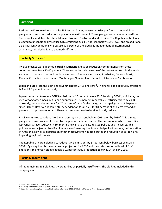#### **Sufficient**

Besides the European Union and its 28 Member States, seven countries put forward unconditional pledges with emission reductions equal or above 40 percent. These pledges were deemed as **sufficient**. These are Iceland, Liechtenstein, Monaco, Norway, Switzerland and Ukraine. The Republic of Moldova pledged to unconditionally reduce GHG emissions by 64-67 percent below 1990 level, and an additional 11-14 percent conditionally. Because 80 percent of the pledge is independent of international assistance, this pledge is also deemed sufficient.

#### **Partially Sufficient**

Twelve pledges were deemed **partially sufficient**. Emission reduction commitments from these countries range from 20-40 percent. These countries include some of the largest emitters in the world, and need to do much better to reduce emissions. These are Australia, Azerbaijan, Belarus, Brazil, Canada, Costa Rica, Israel, Japan, Montenegro, New Zealand, Republic of Korea and San Marino.

Japan and Brazil are the sixth and seventh largest GHGs emitters<sup>[48](#page-15-0)</sup>. Their share of global GHG emissions is 3 and 2.3 percent respectively.

Japan committed to reduce "GHG emissions by 26 percent below 2013 levels by 2030", which may be met. Among other measures, Japan adopted a 22–24 percent renewable electricity target by 2030. Currently, renewables account for 17 percent of Japan's electricity, with a rapid growth of 50 percent since 2010<sup>[49](#page-15-1)</sup>. However, Japan is still dependent on fossil fuels for 81 percent of its electricity and 88 percent of its primary energy<sup>50</sup>. These percentages need to be significantly reduced.

Brazil committed to reduce "GHG emissions by 43 percent below 2005 levels by 2030". This climate pledge, however, was put forward by the previous administration. The current one, which took office last January, reversed key environmental and climate change-related policies and measures. This political reversal jeopardizes Brazil's chances of meeting its climate pledge. Furthermore, deforestation in Amazonia as well as destruction of other ecosystems has accelerated the reduction of carbon sinks, impacting regional climate.

The Republic of Korea pledged to reduce "GHG emissions by 37 percent below business as usual in 2030". By using their business as usual projection for 2030 and their latest reported level of GHG emissions, the Korean pledge equals a 22 percent GHGs reduction below 2014 level in 2030.

#### **Partially Insufficient**

Of the remaining 133 pledges, 8 were ranked as **partially insufficient**. The pledges included in this category are:

<span id="page-15-0"></span><sup>48</sup> UNEP, The Emission Gap Report 2018

<span id="page-15-1"></span><sup>49</sup> Electricity generation by fuel - Japan: IEA Electricity Information 2018

<span id="page-15-2"></span><sup>50</sup> Electricity generation by fuel – Japan: IEA Electricity Information 2018, BP Statistical Review of World Energy June 2019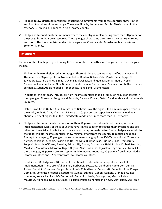- 1. Pledges **below 20 percent** emission reductions. Commitments from these countries show limited ambition to address climate change. These are Albania, Jamaica and Serbia. Also included in this category is Trinidad and Tobago, a high-income country.
- 2. Pledges with conditional commitments where the country is implementing more than **50 percent** of the pledge from their own resources. These pledges show some effort from the country to reduce emissions. The four countries under this category are Cook Islands, Kazakhstan, Micronesia and Solomon Islands.

#### **Insufficient**

The rest of the climate pledges, totaling 125, were ranked as **insufficient.** The pledges in this category include:

1. Pledges with **no emission reduction target**. These 36 pledges cannot be quantified or measured. These include 30 pledges from Armenia, Belize, Bhutan, Bolivia, Cabo Verde, Cuba, Egypt, El Salvador, Eswatini, Guinea-Bissau, Guyana, Malawi, Mozambique, Myanmar, Nauru, Nepal, Nicaragua, Panama, Papua New Guinea, Rwanda, Samoa, Sierra Leone, Somalia, South Africa, Sudan, Suriname, Syrian Arabic Republic, Timor-Leste, Tonga and Turkmenistan.

In addition, this category includes six high-income countries that lack emission reduction targets in their pledges. These are: Antigua and Barbuda, Bahrain, Kuwait, Qatar, Saudi Arabia and United Arab Emirates.

Qatar, Kuwait, the United Arab Emirates and Bahrain have the highest  $CO<sub>2</sub>$  emissions per person in the world, with 38, 23.9, 22.4 and 21.8 tons of  $CO<sub>2</sub>$  per person respectively. On average, that is about 50 percent higher than the United States and three times more than in Germany<sup>[51](#page-16-0)</sup>.

2. Pledges with commitments that rely **more than 50 percent** on international funding for their implementation. Many of these countries have limited capacity to reduce their emissions and are reliant on financial and technical assistance, which may not materialize. These pledges, especially for the upper middle income countries, show minimal effort from the country to reduce emissions. Among this category, 27 pledges made commitments ranging from 50-90% conditional. These are: Algeria, Bangladesh, Benin, Bosnia and Herzegovina, Burkina Faso, Burundi, Chad, Democratic People's Republic of Korea, Ecuador, Eritrea, Fiji, Ghana, Guatemala, Haiti, Jordan, Kiribati, Lesotho, Maldives, Mauritania, Morocco, Niger, Nigeria, Niue, Sri Lanka, Tajikistan, Togo and Viet Nam. Of these pledges, 33 percent are from upper middle-income countries, 30 percent from lower middleincome countries and 37 percent from low income countries.

In addition, 38 pledges are 100 percent conditional to international support for their full implementation. These are: Afghanistan, Barbados, Botswana, Cambodia, Cameroon, Central African Republic, Comoros, Congo (Republic of), Cote d'Ivoire, Democratic Republic of the Congo, Dominica, Dominican Republic, Equatorial Guinea, Ethiopia, Gabon, Gambia, Grenada, Guinea, Honduras, Kenya, Lao People's Democratic Republic, Liberia, Madagascar, Marshall Islands, Mauritius, Mongolia, Namibia, Oman, Pakistan, Palau, Saint Kitts and Nevis, Saint Lucia, Sao Tome

<span id="page-16-0"></span><sup>&</sup>lt;sup>51</sup> Fossil CO<sub>2</sub> and GHG emissions of all world countries - 2019 Report, Publications Office of the European Union; Global Carbon Atlas, CO<sub>2</sub> emissions per person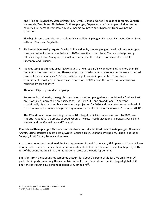and Principe, Seychelles, State of Palestine, Tuvalu, Uganda, United Republic of Tanzania, Vanuatu, Venezuela, Zambia and Zimbabwe. Of these pledges, 30 percent are from upper middle-income countries, 32 percent from lower middle-income countries and 26 percent from low income countries.

Five high-income countries also made totally conditional pledges: Bahamas, Barbados, Oman, Saint Kitts and Nevis and Seychelles.

- 3. Pledges with **intensity targets.** As with China and India, climate pledges based on intensity targets mostly equal an increase in emissions in 2030 above the current level. These six pledges using intensity targets are: Malaysia, Uzbekistan, Tunisia, and three high income countries –Chile, Singapore and Uruguay.
- 4. Pledges using **business as usual** (BAU) targets, as well as partially conditional using more than **50 percent** of their own resources. These pledges are based on emission reductions below a projected level of future emissions in 2030 **if** no actions or policies are implemented. Thus, these commitments mostly equal an increase in emission in 2030 above the latest level of emissions reported by each country.

There are 13 pledges under this group.

For example, Indonesia, the eighth largest global emitter, pledged to unconditionally "reduce GHG emissions by 29 percent below business as usual" by 2030, and an additional 12 percent conditionally. By using their business as usual projection for 2030 and their latest reported level of GHG emissions, the Indonesian pledge equals a 40 percent GHG increase above 2016 level in 2030 $52$ .

The 12 additional countries using the same BAU target, which increases emissions by 2030, are: Andorra, Argentina, Colombia, Djibouti, Georgia, Mexico, North Macedonia, Paraguay, Peru, Saint Vincent and the Grenadines and Thailand.

**Countries with no pledges.** Thirteen countries have not yet submitted their climate pledges. These are Angola, Brunei Darussalam, Iran, Iraq, Kyrgyz Republic, Libya, Lebanon, Philippines, Russia Federation, Senegal, South Sudan, Turkey and Yemen.

All of these countries have signed the Paris Agreement. Brunei Darussalam, Philippines and Senegal have also ratified it and are revising their initial commitments before they become their climate pledges. The rest of the countries are still in the ratification process of the Paris Agreement.

Emissions from these countries combined account for about 9 percent of global GHG emissions. Of particular importance among these countries is the Russian Federation –the fifth largest global GHG emitter, contributing 4.6 percent of global GHG emissions $53$ .

<span id="page-17-0"></span><sup>52</sup> Indonesia's NDC (2016) and Biennial Update Report (2018)

<span id="page-17-1"></span><sup>53</sup> UNEP, The Emission Gap Report 2018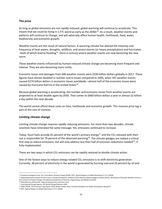#### **The price**

As long as global emissions are not rapidly reduced, global warming will continue to accelerate. This means that we could be living in 1.5°C world as early as the 2030s<sup>54</sup>. As a result, weather events and patterns will continue to change, and will adversely affect human health, livelihoods, food, water, biodiversity and economic growth.

Weather events are the result of natural factors. A warming climate has altered the intensity and frequency of heat waves, droughts, wildfires, and severe storms (or heavy precipitation) and hurricanes -both of which lead to flooding<sup>55</sup>. Once-a-century severe weather events are now becoming the new norm.

These weather events influenced by human-induced climate change are becoming more frequent and intense. They are also becoming more costly.

Economic losses and damages from 690 weather events were \$330 billion dollars globally in 2017. These figures have almost doubled in number and in losses compared to 2005, when 347 weather events caused \$274 billion dollars in economic losses worldwide –almost half of the economic losses were caused by Hurricane Katrina in the United States<sup>[56](#page-18-2)</sup>.

Because global warming is accelerating, the number and economic losses from weather events are projected to at least double again by 2030. That comes to \$660 billion dollars a year or almost \$2 billion a day within the next decade.

The world cannot afford these costs on lives, livelihoods and economic growth. This massive price tag is part of the cost of inaction.

#### **Limiting climate change**

Limiting climate change requires rapidly reducing emissions. For more than two decades, climate scientists have reiterated the same message. Yet, emissions continued to increase.

Today, fossil fuels provide 81 percent of the world's primary energy<sup>[57](#page-18-3)</sup> and the CO<sub>2</sub> released with their use is responsible for 70 percent of the observed warming<sup>58</sup>. The climate pledges are indeed a critical first step to reduce emissions; but will only address less than half of emission reductions needed<sup>59</sup>, if fully implemented.

There are two ways in which  $CO<sub>2</sub>$  emissions can be rapidly reduced to double climate action.

One of the fastest ways to reduce energy-related  $CO<sub>2</sub>$  emissions is to shift electricity generation. Currently, 38 percent of electricity in the world is generated by burning coal and 26 percent by oil and

<span id="page-18-0"></span><sup>54</sup> Universal Ecological Fund: The Truth About Climate Change (2016), IPCC: Special Report on Global Warming of 1.5°C (2018)

<span id="page-18-1"></span><sup>55</sup> Explaining Extreme Events of 2015 from a Climate Perspective, Bulletin of the American Meteorological Society (2015); Attribution of Extreme Weather Events in the Context of Climate Change, The National Academies of Sciences, Engineering, and Medicine (2016)

<sup>56</sup> NatCatService, Munich RE: https://natcatservice.munichre.com/

<span id="page-18-3"></span><span id="page-18-2"></span><sup>57</sup> International Energy Agency: IEA World Energy Balances 2018

<span id="page-18-4"></span><sup>58</sup> UNEP (2018). The Emissions Gap Report 2018, Global Carbon Atlas, Emission Database for Global Atmospheric Research

<span id="page-18-5"></span><sup>59</sup> IPCC: Special Report on Global Warming of 1.5°C (2018)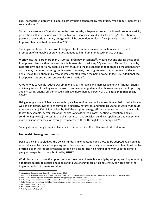gas. That totals 64 percent of global electricity being generated by fossil fuels, while about 7 percent by solar and wind $60$ .

To drastically reduce  $CO<sub>2</sub>$  emissions in the next decade, a 70 percent reduction in coal use for electricity generation will be necessary as well as a five-fold increase in wind and solar energy<sup>61</sup>. Yet, about 60 percent of the world's primary energy will still be dependent on fossil fuels (mainly natural gas and oil) to power, heat and fuel the world in  $2030^{62}$  $2030^{62}$  $2030^{62}$ .

The implementation of the current pledges is far from the necessary reduction in coal use and promotion of renewable energy targets needed to limit human-induced climate change.

Worldwide, there are more than 2,400 coal-fired power stations<sup>63</sup>. Phasing out and closing these coalfired power plants within the next decade is essential to reducing  $CO<sub>2</sub>$  emissions. This option is viable, cost-effective and certainly doable. However, due to the misconception that breaking the dependency on coal may hinder economic growth, vested interests, short-sightedness, bad economics and even denial make this option unlikely to be implemented within the next decade. In fact, 250 additional coalfired power stations are currently under construction  $64$ .

Another way to rapidly reduce  $CO<sub>2</sub>$  emissions is by improving and increasing energy efficiency. Energy efficiency is one of the key ways the world can meet energy demand with lower energy use. Improving and increasing energy efficiency could achieve more than 40 percent of  $CO<sub>2</sub>$  emission reductions by  $2040^{65}$  $2040^{65}$  $2040^{65}$ .

Using energy more efficiently is something each one of us can do. It can result in emission reductions as well as significant savings in energy bills (electricity, natural gas and fuel). Households worldwide could save more than \$500 billion dollars by 2040 by adopting energy efficiency measures that are available today, for example, better insulation, choices of glass, 'green' roofs, heating, ventilation, and air conditioning (HVAC) choices. Each dollar spent to make vehicles, buildings, appliances and equipment more efficient pays back, on average, by a factor of three through lower energy bills<sup>[66](#page-19-6)</sup>.

Solving climate change requires leadership. It also requires the collective effort of all of us.

#### **Leadership from governments**

Despite the climate pledges, the policies under implementation and those to be adopted, tax credits for renewable electricity, carbon pricing and other measures, national governments need to at least double or triple actions to reduce emissions in the next decade. The next round of new or updated climate pledges is expected to be submitted by  $2020^{67}$  $2020^{67}$  $2020^{67}$ .

World leaders also have the opportunity to show their climate leadership by adopting and implementing additional policies to reduce emissions and to use energy more efficiently. Policy can accelerate the implementation of climate solutions.

<span id="page-19-1"></span><span id="page-19-0"></span><sup>60</sup> International Energy Agency: Electricity generation mix, 2018 61 IPCC: Special Report on Global Warming of 1.5°C (2018), IAMC 1.5°C Scenario Explorer: International Institute for Applied Systems Analysis *(*IIASA)

<span id="page-19-2"></span><sup>62</sup> IAMC 1.5°C Scenario Explorer: International Institute for Applied Systems Analysis (IIASA)

<span id="page-19-3"></span><sup>63</sup> Global Energy Monitor's Global Coal Plant Tracker: Number of Coal-fired power stations by county (July 2019)

<span id="page-19-4"></span><sup>64</sup> Global Energy Monitor's Global Coal Plant Tracker: Number of Coal-fired power stations by county (July 2019)

<span id="page-19-6"></span><span id="page-19-5"></span><sup>65</sup> IEA Energy Efficiency 2018 report

<sup>66</sup> IEA Energy Efficiency 2018 report

<span id="page-19-7"></span><sup>67</sup> Paris Agreement, Article 4.9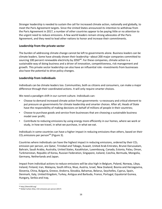Stronger leadership is needed to sustain the call for increased climate action, nationally and globally, to meet the Paris Agreement targets. Since the United States announced its intention to withdraw from the Paris Agreement in 2017, a number of other countries appear to be paying little or no attention to the urgent need to reduce emissions. A few world leaders remain strong advocates of the Paris Agreement, and they need to lead other nations to honor and increase their commitments.

#### **Leadership from the private sector**

The burden of addressing climate change cannot be left to governments alone. Business leaders can be climate leaders. Some have already shown their leadership –about 200 major companies committed to sourcing 100 percent renewable electricity by 2050<sup>[68](#page-20-0)</sup>. For these companies, climate action is a sustainable way of doing business and a driver of innovation, competitiveness, risk management and growth. This private sector leadership can also have an influential role –investments from businesses also have the potential to drive policy changes.

#### **Leadership from individuals**

Individuals can be climate leaders too. Communities, both as citizens and consumers, can make a major difference through their coordinated actions. It will only require smarter choices.

We need a paradigm shift in our current culture. Individuals can:

- Choose to demand increased climate action from governments –a necessary and critical element to put pressure on governments for climate leadership and smarter choices. After all, Heads of State have the responsibility of making decisions on behalf of millions of people in their countries;
- Choose to purchase goods and service from businesses that are choosing a sustainable business model over profit;
- Contribute to reducing emissions by using energy more efficiently in our homes, where we work or study, in how we travel, in what we purchase, in what we eat.

Individuals in some countries can have a higher impact in reducing emissions than others, based on their  $CO<sub>2</sub>$  emissions per person<sup>[69](#page-20-1)</sup> (Figure 3).

Countries where individuals can have the highest impact in reducing emissions, ordered by their  $CO<sub>2</sub>$ emission per person, are Qatar, Trinidad and Tobago, Kuwait, United Arab Emirates, Brunei Darussalam, Bahrain, Saudi Arabia, Australia, United States, Kazakhstan, Luxembourg, Canada, Estonia, Palau, Oman, Turkmenistan, Republic of Korea, Russian Federation, Singapore, Iceland, Czechia, Bermuda, Mongolia, Germany, Netherlands and Japan.

Impact from individual actions to reduce emissions will be also high in Belgium, Poland, Norway, Libya, Ireland, Finland, Iran, Malaysia, South Africa, Niue, Austria, Israel, New Zealand, Bosnia and Herzegovina, Slovenia, China, Bulgaria, Greece, Andorra, Slovakia, Bahamas, Belarus, Seychelles, Cyprus, Spain, Denmark, Italy, United Kingdom, Turkey, Antigua and Barbuda, France, Portugal, Equatorial Guinea, Hungary, Serbia and Iraq.

<span id="page-20-0"></span><sup>68</sup> http://there100.org/

<span id="page-20-1"></span><sup>69</sup> Global Carbon Atlas, CO2 emissions per person (2017)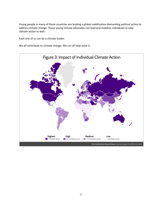Young people in many of these countries are leading a global mobilization demanding political action to address climate change. These young climate advocates can lead and mobilize individuals to take climate action as well.

Each one of us can be a climate leader.

We all contribute to climate change. We can all help solve it.

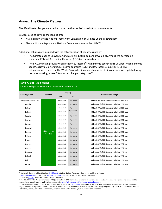### **Annex: The Climate Pledges**

The 184 climate pledges were ranked based on their emission reduction commitments.

Sources used to develop the ranking are:

- NDC Registry, United Nations Framework Convention on Climate Change Secretariat<sup>70</sup>.
- Biennial Update Reports and National Communications to the UNFCCC[71.](#page-22-1)

Additional columns are included with the categorization of countries used by:

- The Climate Change Convention, indicating Industrialized and Developing. Among the developing countries, 47 Least Developing Countries (LDCs) are also indicated $^{72}$ .
- The IPCC, indicating country classification by income<sup>73</sup>: high income countries (HIC), upper middle-income countries (UMC), lower middle-income countries (LMC) and low income countries (LIC). This categorization is based on the World Bank's classification of countries by income, and was updated using the latest ranking, where 23 countries changed categories<sup>74</sup>.

#### **SUFFICIENT –36 pledges**

Climate pledges **above or equal to 40%** emission reductions

|                        |                            | Category       |                        |                                                |
|------------------------|----------------------------|----------------|------------------------|------------------------------------------------|
| Country / Party        | <b>Based on</b>            | <b>UNFCCC</b>  | <b>IPCC</b>            | <b>Unconditional Pledge</b>                    |
| European Union (EU-28) |                            | Industrialized | High income            | At least 40% of GHG emissions below 1990 level |
| Austria                |                            | Industrialized | High income            | At least 40% of GHG emissions below 1990 level |
| Belgium                |                            | Industrialized | High income            | At least 40% of GHG emissions below 1990 level |
| <b>Bulgaria</b>        |                            | Industrialized | Upper-middle<br>income | At least 40% of GHG emissions below 1990 level |
| Croatia                |                            | Industrialized | High income            | At least 40% of GHG emissions below 1990 level |
| Cyprus                 |                            | Industrialized | High income            | At least 40% of GHG emissions below 1990 level |
| Czechia                |                            | Industrialized | High income            | At least 40% of GHG emissions below 1990 level |
| Denmark                |                            | Industrialized | High income            | At least 40% of GHG emissions below 1990 level |
| Estonia                | +40% emission<br>reduction | Industrialized | High income            | At least 40% of GHG emissions below 1990 level |
| Finland                |                            | Industrialized | High income            | At least 40% of GHG emissions below 1990 level |
| France                 |                            | Industrialized | High income            | At least 40% of GHG emissions below 1990 level |
| Germany                |                            | Industrialized | High income            | At least 40% of GHG emissions below 1990 level |
| Greece                 |                            | Industrialized | High income            | At least 40% of GHG emissions below 1990 level |
| Hungary                |                            | Industrialized | High income            | At least 40% of GHG emissions below 1990 level |
| Ireland                |                            | Industrialized | High income            | At least 40% of GHG emissions below 1990 level |
| Italy                  |                            | Industrialized | High income            | At least 40% of GHG emissions below 1990 level |
| Latvia                 |                            | Industrialized | High income            | At least 40% of GHG emissions below 1990 level |

<span id="page-22-0"></span><sup>&</sup>lt;sup>70</sup> Nationally Determined Contributions: NOC Registry, United Nations Framework Convention on Climate Change<br><sup>71</sup> Biennial Update Report (BUR) and National Communication (NC) to the Climate Change Convention

<span id="page-22-1"></span>

<span id="page-22-3"></span><span id="page-22-2"></span><sup>&</sup>lt;sup>72</sup> There are <u>47 LDCs</u> under the Climate Change Convention.<br><sup>73</sup> The 2014 IPCC Fifth Assessment Report [\(](https://unfccc.int/process-and-meetings/transparency-and-reporting/reporting-and-review-under-the-convention/national-communications-and-biennial-update-reports-non-annex-i-parties/national-communication-submissions-from-non-annex-i-parties)AR5) analyzed global GHG emissions categorizing co[u](https://unfccc.int/topics/resilience/workstreams/national-adaptation-programmes-of-action/ldc-country-information)ntries based on their income into high-income, upper-middle income, lower-middle income and low-income countries: AR5, WGIII, Annex II: Metrics and Methodologies.

<span id="page-22-4"></span><sup>&</sup>lt;sup>74</sup> This categorization of countries by income was updated using th[e 2020 ranking.](https://datahelpdesk.worldbank.org/knowledgebase/articles/906519-world-bank-country-and-lending-groups) Compared to the 2014 IPCC assessment, 23 countries changed categories: Angola, Armenia, Bangladesh, Comoros, Equatorial Guinea, Georgia, Guatemala, Guyana, Hungary, Kenya, Kyrgyz Republic, Myanmar, Nauru, Paraguay, Russian Federation, Samoa, Seychelles, South Sudan, Sri Lanka, Syrian Arabic Republic, Tunisia, Yemen and Zimbabwe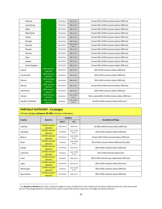| Lithuania           |                            | Industrialized | High income            | At least 40% of GHG emissions below 1990 level         |
|---------------------|----------------------------|----------------|------------------------|--------------------------------------------------------|
| Luxembourg          |                            | Industrialized | High income            | At least 40% of GHG emissions below 1990 level         |
| Malta               |                            | Industrialized | High income            | At least 40% of GHG emissions below 1990 level         |
| Netherlands         |                            | Industrialized | High income            | At least 40% of GHG emissions below 1990 level         |
| Poland              |                            | Industrialized | High income            | At least 40% of GHG emissions below 1990 level         |
| Portugal            |                            | Industrialized | High income            | At least 40% of GHG emissions below 1990 level         |
| Romania             |                            | Industrialized | Upper-middle<br>income | At least 40% of GHG emissions below 1990 level         |
| Slovakia            |                            | Industrialized | High income            | At least 40% of GHG emissions below 1990 level         |
| Slovenia            |                            | Industrialized | High income            | At least 40% of GHG emissions below 1990 level         |
| Spain               |                            | Industrialized | High income            | At least 40% of GHG emissions below 1990 level         |
| Sweden              |                            | Industrialized | High income            | At least 40% of GHG emissions below 1990 level         |
| United Kingdom      |                            | Industrialized | High income            | At least 40% of GHG emissions below 1990 level         |
| Iceland             | 40% emission<br>reduction  | Industrialized | High income            | 40% of GHG emissions below 1990 level                  |
| Liechtenstein       | 40% emission<br>reduction  | Industrialized | High income            | 40% of GHG emissions below 1990 level                  |
| Monaco              | +40% emission<br>reduction | Industrialized | High income            | 50% of GHG emissions below 1990 level                  |
| Norway              | +40% emission<br>reduction | Industrialized | High income            | At least 40% of GHG emissions below 1990 level         |
| Switzerland         | +40% emission<br>reduction | Industrialized | High income            | 50% of GHG emissions below 1990 level                  |
| Ukraine             | +40% emission<br>reduction | Industrialized | Lower-middle<br>income | Not to exceed 60% of GHG emissions below 1990 level    |
| Republic of Moldova | +40% emission<br>reduction | Developing     | Lower-middle<br>income | 64-67% of GHG emissions below 1990 level <sup>75</sup> |

## **PARTIALLY SUFFICIENT –12 pledges**

#### Climate pledges **between 20-40%** emission reductions

|             |                                                            | Category       |                             |                                                  |  |
|-------------|------------------------------------------------------------|----------------|-----------------------------|--------------------------------------------------|--|
|             | <b>Based on</b><br>Country<br><b>UNFCCC</b><br><b>IPCC</b> |                | <b>Unconditional Pledge</b> |                                                  |  |
| Australia   | 20-40% emission<br>reduction                               | Industrialized | High income                 | 26-28% of GHG emission below 2005 level          |  |
| Azerbaijan  | 20-40% emission<br>reduction                               | Developing     | Upper-middle<br>income      | 35% of GHG emissions below 1990 level            |  |
| Belarus     | 20-40% emission<br>reduction                               | Industrialized | Upper-middle<br>income      | At least 28% of GHG emissions below 1990 level   |  |
| Brazil      | 20-40% emission<br>reduction                               | Developing     | Upper-middle<br>income      | 37% of GHG emissions below 2005 level (by 2025)  |  |
| Canada      | 20-40% emission<br>reduction                               | Industrialized | High income                 | 30% of GHG emissions below 2005 level            |  |
| Costa Rica  | 20-40% emission<br>reduction                               | Developing     | Upper-middle<br>income      | 25% of GHG emissions below 2012                  |  |
| Israel      | 20-40% emission<br>reduction                               | Developing     | High income                 | 26% of GHG emissions per capita below 2005 level |  |
| Japan       | 20-40% emission<br>reduction                               | Industrialized | High-income                 | 26% of GHG emissions below 2013 level            |  |
| Montenegro  | 20-40% emission<br>reduction                               | Developing     | Upper-middle<br>income      | 30% of GHG emissions below 1990 level            |  |
| New Zealand | 20-40% emission<br>reduction                               | Industrialized | High income                 | 30% of GHG emissions below 2005 level            |  |

<span id="page-23-0"></span><sup>75</sup> The **Republic of Moldova** also made a conditional pledge to reduce an additional 11-14% of GHG emissions below 1990 level (total up to 78%). Because 80 percent of the pledge depends on national actions, equal or above 40% emission reductions, this pledge was deemed sufficient.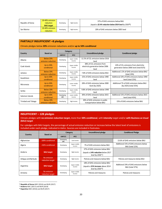| Republic of Korea | 20-40% emission<br><b>reduction</b><br><b>BAU target</b> | Developing | High income | 37% of GHG emissions below BAU<br>(equals a 22.4% reduction below 2014 level by 2030 <sup>76</sup> ) |
|-------------------|----------------------------------------------------------|------------|-------------|------------------------------------------------------------------------------------------------------|
| San Marino        | 20-40% emission<br><b>reduction</b>                      | Developing | High income | 20% of GHG emissions below 2005 level                                                                |

| <b>PARTIALLY INSUFFICIENT -8 pledges</b>                                   |                                 |                          |                        |                                                                                     |                                                                                              |  |
|----------------------------------------------------------------------------|---------------------------------|--------------------------|------------------------|-------------------------------------------------------------------------------------|----------------------------------------------------------------------------------------------|--|
| Climate pledges below 20% emission reductions and/or up to 50% conditional |                                 |                          |                        |                                                                                     |                                                                                              |  |
| Country                                                                    | <b>Based on</b>                 | Category                 |                        |                                                                                     | <b>Conditional pledge</b>                                                                    |  |
|                                                                            |                                 | <b>UNFCCC</b>            | <b>IPCC</b>            | <b>Unconditional pledge</b>                                                         |                                                                                              |  |
| Albania                                                                    | Below 20%<br>emission reduction | Developing               | Upper-middle<br>income | 11.5% of $CO2$ emissions below 2016<br>level                                        |                                                                                              |  |
| Cook Islands                                                               | <b>Up to 50%</b><br>conditional | Developing               | Upper-middle<br>income | 38% of CO <sub>2</sub> emissions from<br>electricity generation below 2006<br>level | 43% of CO <sub>2</sub> emissions from electricity<br>generation below 2006 level (total 81%) |  |
| Jamaica                                                                    | Below 20%<br>emission reduction | Developing               | Upper-middle<br>income | 7.8% of GHG emissions below BAU                                                     | Additional 2.2% of GHG emissions below BAU<br>(total 10%)                                    |  |
| Kazakhstan                                                                 | <b>Up to 50%</b><br>conditional | Developing               | Upper-middle<br>income | 15% of GHG emissions below 1990<br>level                                            | Additional 10% of GHG emissions below 1990<br>level (total 25%)                              |  |
| Micronesia                                                                 | Up to 50%<br>conditional        | Developing               | Lower-middle<br>income | 28% of GHG emissions below 2000<br>level (by 2025)                                  | Additional 7% of GHG emissions below BAU<br>(by 2025) (total 35%)                            |  |
| Serbia                                                                     | Below 20%<br>emission reduction | Developing               | Upper-middle<br>income | 9.8% of GHG emissions below 1990<br>level                                           |                                                                                              |  |
| Solomon Islands                                                            | <b>Up to 50%</b><br>conditional | Developing<br><b>LDC</b> | Lower-middle<br>income | 30% of GHG emissions below 2015<br>level                                            | Additional 15% of GHG emissions below 2015<br>level (total 45%)                              |  |
| <b>Trinidad and Tobago</b>                                                 | Below 20%<br>emission reduction | Developing               | High income            | 30% of GHG emissions in public<br>transportation below BAU                          | 15% of GHG emissions below BAU                                                               |  |

#### **INSUFFICIENT – 128 pledges**

Climate pledges with **no emission reduction target,** more than **50% conditional**, with **intensity** target and/or **with Business as Usual (BAU) target** 

For +pledges with BAU targets, the percentage of actual emission reduction or increase below the latest level of emissions is included under each pledge, indicated in *italics*. Sources are included in footnotes.

|                     | <b>Based on</b>                 | Category           |                        | <b>Unconditional pledge</b>                                         | <b>Conditional Pledge</b>                                |
|---------------------|---------------------------------|--------------------|------------------------|---------------------------------------------------------------------|----------------------------------------------------------|
| Country             |                                 | <b>UNFCCC</b>      | <b>IPCC</b>            |                                                                     |                                                          |
| Afghanistan         | 100% conditional                | Developing<br>LDC. | Low income             |                                                                     | 13.6% of GHG emissions below BAU                         |
| Algeria             | +50% conditional                | Developing         | Upper-middle<br>income | 7% of GHG emissions below BAU                                       | Additional 15% of GHG emissions below<br>BAU (total 22%) |
|                     |                                 |                    |                        | 37% of GHG emissions below BAU                                      |                                                          |
| Andorra             | <b>BAU target</b>               | Developing         | High income            | (equals a 14% reduction below 2017<br>level by 2030 <sup>77</sup> ) |                                                          |
| Antigua and Barbuda | No emission<br>reduction target | Developing         | High income            | Policies and measures below BAU                                     | Policies and measures below BAU                          |
|                     |                                 |                    |                        | 18% of GHG emissions below BAU                                      | Additional 19% of GHG emissions below                    |
| Argentina           | <b>BAU target</b>               | Developing         | Upper-middle<br>income | (equals a 31% increase above 2014<br>level by 2030 <sup>78</sup> )  | BAU (total 37%)                                          |
| Armenia             | No emission<br>reduction target | Developing         | Upper-middle<br>income | Policies and measures                                               | Policies and measures                                    |

<span id="page-24-1"></span><span id="page-24-0"></span><sup>76</sup> **Republic of Korea** NDC (2016) and BUR (2017) 77 **Andorra** NDC (2017) and BUR (2019) 78 **Argentina** NDC (2016) and BUR (2017)

<span id="page-24-2"></span>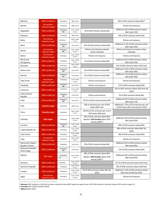| <b>Bahamas</b>                           | 100% conditional                | Developing               | High income            |                                                                                                      | 30% of GHG emissions below BAU <sup>79</sup>                                         |
|------------------------------------------|---------------------------------|--------------------------|------------------------|------------------------------------------------------------------------------------------------------|--------------------------------------------------------------------------------------|
| Bahrain                                  | No emission<br>reduction target | Developing               | High income            |                                                                                                      | Policies and measures                                                                |
| Bangladesh                               | +50% conditional                | Developing<br>LDC        | Lower-middle<br>income | 5% of GHG emissions below BAU                                                                        | Additional 10% of GHG emissions below<br>BAU (total 15%)                             |
| <b>Barbados</b>                          | 100% conditional                | Developing               | High income            |                                                                                                      | 44% of GHG emissions below BAU                                                       |
| Belize                                   | No emission<br>reduction target | Developing               | Upper-middle<br>income |                                                                                                      | Policies and measures                                                                |
| Benin                                    | +50% conditional                | Developing<br><b>LDC</b> | Low income             | 3.6% of GHG emissions below BAU                                                                      | Additional 12.5% of GHG emissions below<br>BAU (total 16%)                           |
| Bhutan                                   | No emission<br>reduction target | Developing<br>LDC        | Lower-middle<br>income | Policies and measures towards<br>carbon neutrality                                                   | Policies and measures towards carbon<br>neutrality                                   |
| Bolivia                                  | No emission<br>reduction target | Developing               | Lower-middle<br>income | Policies and measures                                                                                | Policies and measures                                                                |
| Bosnia and<br>Herzegovina                | +50% conditional                | Developing               | Upper-middle<br>income | 2% of GHG emissions below BAU                                                                        | Additional 21% of GHG emissions below<br>BAU (total 23%)                             |
| Botswana                                 | 100% conditional                | Developing               | Upper-middle<br>income |                                                                                                      | 15% of GHG emissions below 2010 level                                                |
| <b>Burkina Faso</b>                      | +50% conditional                | Developing<br>LDC        | Low income             | 6% of GHG emissions below BAU                                                                        | Additional 11.6% of GHG emissions below<br>BAU (total 18%)                           |
| Burundi                                  | +50% conditional                | Developing<br>LDC        | Low income             | 3% of GHG emissions below BAU                                                                        | Additional 17% of GHG emissions below<br>BAU (total 20%)                             |
| Cabo Verde                               | No emission<br>reduction target | Developing               | Lower-middle<br>income | Policies and measures                                                                                | Policies and measures                                                                |
| Cambodia                                 | 100% conditional                | Developing<br>LDC        | Low income             | Policies and measures                                                                                | 27% of GHG emissions below BAU                                                       |
| Cameroon                                 | 100% conditional                | Developing               | Lower-middle<br>income |                                                                                                      | 32% of GHG emissions below 2010 level (by<br>2035)                                   |
| Central African<br>Republic              | 100% conditional                | Developing<br>LDC        | Low income             | Policies and measures                                                                                | 5% of GHG emissions below BAU                                                        |
| Chad                                     | +50% conditional                | Developing<br>LDC        | Low income             | 18.2% of GHG emissions below BAU                                                                     | Additional 53% of GHG emissions below<br>BAU (total 71%)                             |
| Chile                                    | <b>Intensity target</b>         | Developing               | High income            | 30% of emissions per unit of GDP<br>below 2007 level                                                 | Additional 5-15% of CO2 emissions per unit<br>of GDP below 2007 level (total 35-45%) |
| China                                    | <b>Intensity target</b>         | Developing               | Upper-middle<br>income | $60-65\%$ of $CO2$ emissions per unit of<br>GDP below 2005 level                                     |                                                                                      |
| Colombia                                 | <b>BAU target</b>               | Developing               | Upper-middle<br>income | 20% of GHG emissions below BAU<br>(equals a 13% increase above 2014<br>level by 2030 <sup>80</sup> ) | Additional 10% of GHG emissions below<br>BAU (total 30%)                             |
| Comoros                                  | 100% conditional                | Developing<br>LDC        | Lower-middle<br>income |                                                                                                      | 84% of GHG emissions below BAU                                                       |
| Congo (Republic of)                      | 100% conditional                | Developing               | Lower-middle<br>income |                                                                                                      | 48% of GHG emissions below BAU (by<br>2025)                                          |
| Cote d'Ivoire                            | 100% conditional                | Developing               | Lower-middle<br>income |                                                                                                      | 28% of GHG emissions below BAU                                                       |
| Cuba                                     | No emission<br>reduction target | Developing               | Upper-middle<br>income |                                                                                                      | Policies and measures                                                                |
| Democratic People's<br>Republic of Korea | +50% conditional                | Developing               | Low income             | 8% of GHG emissions below BAU                                                                        | Additional 32% of GHG emissions below<br>BAU (total 40%)                             |
| Democratic Republic<br>of the Congo      | 100% conditional                | Developing<br>LDC        | Low income             |                                                                                                      | 17% of GHG emissions below BAU                                                       |
| Djibouti                                 | <b>BAU target</b>               | Developing<br>LDC        | Lower-middle<br>income | 40% of GHG emissions below BAU<br>(equals a 36% increase above 2010<br>level by 203081)              | Additional 20% of GHG emissions below<br>BAU (total 60%)                             |
| Dominica                                 | 100% conditional                | Developing               | Upper-middle<br>income |                                                                                                      | 44.7% of GHG emissions below 2014 level                                              |
| Dominican Republic                       | 100% conditional                | Developing               | Upper-middle<br>income |                                                                                                      | 25% of GHG emissions below 2010 level                                                |
| Ecuador                                  | +50% conditional                | Developing               | Upper-middle<br>income | 9% of GHG emissions below BAU (by<br>2025)                                                           | Additional 11.9% of GHG emissions below<br>BAU (total 20.9%) (by 2025)               |
| Egypt                                    | No emission<br>reduction target | Developing               | Lower-middle<br>income |                                                                                                      | Policies and measures                                                                |

<span id="page-25-0"></span><sup>79</sup> **Bahamas** NDC indicates a 30% GHG emission reduction below BAU target (on page 4) and a 30% GHG emission reduction below 2010 level (on page 11)

<sup>80</sup> **Colombia** NDC (2018) and BUR (2018)

<span id="page-25-2"></span><span id="page-25-1"></span><sup>81</sup> **Djibouti** NDC (2016)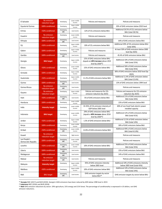| El Salvador                         | No emission<br>reduction target | Developing        | Lower-middle<br>income | Policies and measures                                                                                 | Policies and measures                                                           |
|-------------------------------------|---------------------------------|-------------------|------------------------|-------------------------------------------------------------------------------------------------------|---------------------------------------------------------------------------------|
| <b>Equatorial Guinea</b>            | 100% conditional                | Developing        | Upper-middle<br>income |                                                                                                       | 20% of GHG emissions below 2010 level                                           |
| Eritrea                             | +50% conditional                | Developing<br>LDC | Low income             | 12% of CO <sub>2</sub> emissions below BAU                                                            | Additional 26.5% of CO <sub>2</sub> emissions below<br><b>BAU (total 38.5%)</b> |
| Eswatini                            | No emission<br>reduction target | Developing        | Lower-middle<br>income | Policies and measures                                                                                 | Policies and measures                                                           |
| Ethiopia                            | 100% conditional                | Developing<br>LDC | Low income             |                                                                                                       | 64% of GHG emissions below BAU                                                  |
| Fiji                                | +50% conditional                | Developing        | Upper-middle<br>income | 10% of $CO2$ emissions below BAU                                                                      | Additional 20% of CO <sub>2</sub> emissions below BAU<br>(total 30%)            |
| Gabon                               | 100% conditional                | Developing        | Upper-middle<br>income | Policies and measures                                                                                 | At least 50% of GHG emissions below 2000<br>level (by 2025)                     |
| Gambia                              | 100% conditional                | Developing<br>LDC | Low income             | Policies and measures                                                                                 | 45.4% of GHG emissions below BAU                                                |
| Georgia                             | <b>BAU target</b>               | Developing        | Upper-middle<br>income | 15% of GHG emissions below BAU<br>(equals an 85% increase above 2015<br>level by 2030 <sup>82</sup> ) | Additional 10% of GHG emissions below<br>BAU (total 25%)                        |
| Ghana                               | +50% conditional                | Developing        | Lower-middle<br>income | 15% of GHG emissions below BAU                                                                        | Additional 30% of GHG emissions below<br>BAU (total 45%)                        |
| Grenada                             | 100% conditional                | Developing        | Upper-middle<br>income |                                                                                                       | 30% of GHG emissions below 2010 level (by<br>2025)                              |
| Guatemala                           | +50% conditional                | Developing        | Upper-middle<br>income | 11.2% of GHG emissions below BAU                                                                      | Additional 11.4% of GHG emissions below<br><b>BAU</b> (total 22.6%)             |
| Guinea                              | 100% conditional                | Developing<br>LDC | Low income             |                                                                                                       | 13% of GHG emissions below 1994 level                                           |
| Guinea-Bissau                       | No emission<br>reduction target | Developing<br>LDC | Low income             |                                                                                                       | Policies and measures                                                           |
| Guyana                              | No emission<br>reduction target | Developing        | Upper-middle<br>income | Policies and measures for CO <sub>2</sub><br>emission reduction (by 2025)                             | Policies and measures for CO <sub>2</sub> emission<br>reduction (by 2025)       |
| Haiti                               | +50% conditional                | Developing<br>LDC | Low income             | 5% of GHG emissions below BAU                                                                         | Additional 21% of GHG emissions below<br>BAU (total 26%)                        |
| Honduras                            | 100% conditional                | Developing        | Lower-middle<br>income |                                                                                                       | 15% of GHG emissions below BAU                                                  |
| India                               | <b>Intensity target</b>         | Developing        | Lower-middle<br>income | 33-35% of CO <sub>2</sub> emission intensity of<br>GDP below 2005 level                               | 40% of non-fossil fuels electric power<br>installed capacity                    |
| Indonesia                           | <b>BAU target</b>               | Developing        | Lower-middle<br>income | 29% of GHG emissions below BAU<br>(equals a 40% increase above 2016<br>level by 2030 <sup>83</sup> )  | Additional 12% of GHG emissions below<br>BAU (total 41%)                        |
| Jordan                              | +50% conditional                | Developing        | Upper-middle<br>income | 1.5% of GHG emissions below BAU                                                                       | Additional 12.5% of GHG emissions below<br>BAU (total 14%)                      |
| Kenya                               | 100% conditional                | Developing        | Lower-middle<br>income |                                                                                                       | 30% of GHG emissions below BAU                                                  |
| Kiribati                            | +50% conditional                | Developing<br>LDC | Lower-middle<br>income | 12.8% of GHG emissions below BAU                                                                      | Additional 49% of GHG emissions below<br><b>BAU</b> (total 61.8%)               |
| Kuwait                              | No emission<br>reduction target | Developing        | High income            |                                                                                                       | Policies and measures                                                           |
| Lao People's<br>Democratic Republic | 100% conditional                | Developing<br>LDC | Lower-middle<br>income |                                                                                                       | Policies and measures                                                           |
| Lesotho                             | +50% conditional                | Developing<br>LDC | Lower-middle<br>income | 10% of GHG emissions below BAU                                                                        | Additional 25% of GHG emissions below<br>BAU (total 35%)                        |
| Liberia                             | 100% conditional                | Developing<br>LDC | Low income             |                                                                                                       | 15% of GHG emissions below BAU                                                  |
| Madagascar                          | 100% conditional                | Developing<br>LDC | Low income             |                                                                                                       | 14% of GHG emissions below BAU                                                  |
| Malawi                              | No emission<br>reduction target | Developing<br>LDC | Low income             | Policies and measures                                                                                 | Policies and measures                                                           |
| Malaysia                            | <b>Intensity target</b>         | Developing        | Upper-middle<br>income | 35% of GHG emissions intensity<br>below 2005 level                                                    | Additional 10% of GHG emissions intensity<br>below 2005 level (total 45%)       |
| Maldives                            | +50% conditional                | Developing        | Upper-middle<br>income | 10% of GHG emissions below BAU                                                                        | Additional 14% of GHG emissions below<br>BAU (total 24%)                        |
| Mali                                | <b>BAU target</b>               | Developing<br>LDC | Low-income             | GHG emission targets by sector<br>below BAU <sup>84</sup>                                             | GHG emission targets by sector below BAU                                        |

<span id="page-26-0"></span><sup>82</sup> **Georgia** NDC (2017) and BUR (2019). Georgia's GHG emissions have been reduced by 60% below 1990 level in 2015

<sup>83</sup> **Indonesia** NDC (2016) and BUR (2018)

<span id="page-26-2"></span><span id="page-26-1"></span><sup>84</sup> Mali GHG emission reductions by sector: 29% agriculture, 31% energy and 21% forest. The percentage of conditionality is expressed in US dollars, not GHG emission reductions.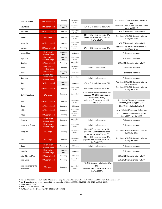| At least 45% of GHG emissions below 2010<br>Upper-middle<br>Developing<br>Marshall Islands<br>100% conditional<br>income<br>level<br>Additional 19.6% of GHG emissions below<br>Lower-middle<br>Developing<br>Mauritania<br>+50% conditional<br>2.6% of GHG emissions below BAU<br>LDC<br>income<br><b>BAU (total 22.3%)</b><br>Upper-middle<br>30% of GHG emissions below BAU<br><b>Mauritius</b><br>100% conditional<br>Developing<br>income<br>22% of GHG emissions below BAU<br>Additional 14% of GHG emissions below<br>Upper-middle<br><b>BAU target</b><br>(equals a 9% increase above 2015<br>Mexico<br>Developing<br>income<br>BAU (total 36%)<br>level by 2030 <sup>85</sup> )<br>Lower-middle<br>Mongolia<br>14% of GHG emissions below BAU<br>100% conditional<br>Developing<br>income<br>Additional 25% of GHG emissions below<br>Lower-middle<br>+50% conditional<br>17% of GHG emissions below BAU<br>Morocco<br>Developing<br>income<br>BAU (total 42%)<br>No emission<br>Developing<br>Policies and measures<br>Mozambique<br>Low income<br>LDC<br>reduction target<br>No emission<br>Lower-middle<br>Developing<br>Policies and measures<br>Myanmar<br><b>LDC</b><br>income<br>reduction target<br>Upper-middle<br>Namibia<br>100% conditional<br>89% of GHG emissions below BAU<br>Developing<br>income<br>No emission<br>Upper-middle<br>Policies and measures<br>Policies and measures<br>Nauru<br>Developing<br>income<br>reduction target<br>No emission<br>Developing<br>Policies and measures<br>Nepal<br>Low income<br>LDC<br>reduction target<br>No emission<br>Developing<br>Lower-middle<br>Policies and measures<br>Policies and measures<br>Nicaragua<br>income<br>reduction target<br>Additional 31% of GHG emissions below<br>Developing<br>3.5% of GHG emissions below BAU<br>Niger<br>+50% conditional<br>Low income<br>LDC<br>BAU (total 34.6%)<br>Additional 25% of GHG emissions below<br>Lower-middle<br>+50% conditional<br>20% of GHG emissions below BAU<br>Nigeria<br>Developing<br>income<br>BAU (total 45%)<br>30-36% of CO <sub>2</sub> emissions below BAU<br>Developing<br>Upper-middle<br>(equals a 34-47% increase above<br>North Macedonia<br><b>BAU target</b><br>income<br>2014 level by 2030 <sup>86</sup> )<br>38% share of renewable electricity<br>Additional 42% share of renewable<br>Upper-middle<br>+50% conditional<br>Niue<br>Developing<br>income<br>(by 2020)<br>electricity (total 80%) (by 2025)<br>2% of GHG emission below BAU<br>100% conditional<br>High income<br>Oman<br>Developing<br>Lower-middle<br>Pakistan<br>Up to 20% of GHG emissions below BAU<br>100% conditional<br>Developing<br>income<br>22% of $CO2$ emissions in the energy sector<br>Upper-middle<br>100% conditional<br>Palau<br>Developing<br>income<br>below 2005 level (by 2025)<br>No emission<br>Upper-middle<br>Policies and measures<br>Policies and measures<br>Panama<br>Developing<br>income<br>reduction target<br>No emission<br>Lower-middle<br>Developing<br>Policies and measures<br>Policies and measures<br>Papua New Guinea<br>income<br>reduction target<br>10% of GHG emissions below BAU<br>Additional 10% of GHG emissions below<br>Upper-middle<br>(equals a 61% increase above the<br>Paraguay<br><b>BAU target</b><br>Developing<br>income<br>BAU (total 20%)<br>projected 2020 level by 2030 <sup>87</sup> )<br>20% of GHG emissions below BAU<br>Additional 10% of GHG emissions below<br>Upper-middle<br>(equals a 27% increase above 2012<br>Peru<br><b>BAU target</b><br>Developing<br>income<br>BAU (total 30%)<br>level by 2030 <sup>88</sup> )<br>No emission<br>Policies and measures<br>Policies and measures<br>Qatar<br>Developing<br>High income<br>reduction target<br>No emission<br>Developing<br>Rwanda<br>Low income<br>Policies and measures<br>LDC<br>reduction target<br>100% conditional<br>Saint Kitts and Nevis<br>Developing<br>High income<br>35% of GHG emissions below BAU<br>Upper-middle<br>Saint Lucia<br>100% conditional<br>Developing<br>23% of GHG emissions below BAU<br>income<br>22% of GHG emissions below BAU (by<br>Saint Vincent and the<br>2025)<br>Upper-middle<br><b>BAU target</b><br>Developing<br>income<br>(equals a 15% increase above 2010<br>Grenadines<br>level by 2025 <sup>89</sup> ) |  |  |  |
|------------------------------------------------------------------------------------------------------------------------------------------------------------------------------------------------------------------------------------------------------------------------------------------------------------------------------------------------------------------------------------------------------------------------------------------------------------------------------------------------------------------------------------------------------------------------------------------------------------------------------------------------------------------------------------------------------------------------------------------------------------------------------------------------------------------------------------------------------------------------------------------------------------------------------------------------------------------------------------------------------------------------------------------------------------------------------------------------------------------------------------------------------------------------------------------------------------------------------------------------------------------------------------------------------------------------------------------------------------------------------------------------------------------------------------------------------------------------------------------------------------------------------------------------------------------------------------------------------------------------------------------------------------------------------------------------------------------------------------------------------------------------------------------------------------------------------------------------------------------------------------------------------------------------------------------------------------------------------------------------------------------------------------------------------------------------------------------------------------------------------------------------------------------------------------------------------------------------------------------------------------------------------------------------------------------------------------------------------------------------------------------------------------------------------------------------------------------------------------------------------------------------------------------------------------------------------------------------------------------------------------------------------------------------------------------------------------------------------------------------------------------------------------------------------------------------------------------------------------------------------------------------------------------------------------------------------------------------------------------------------------------------------------------------------------------------------------------------------------------------------------------------------------------------------------------------------------------------------------------------------------------------------------------------------------------------------------------------------------------------------------------------------------------------------------------------------------------------------------------------------------------------------------------------------------------------------------------------------------------------------------------------------------------------------------------------------------------------------------------------------------------------------------------------------------------------------------------------------------------------------------------------------------------------------------------------------------------------------------------------------------------------------------------------------------------------------------------------------------------------------------------------------------------------------------------------------------------------------------------------------------------------------------------------------------------|--|--|--|
|                                                                                                                                                                                                                                                                                                                                                                                                                                                                                                                                                                                                                                                                                                                                                                                                                                                                                                                                                                                                                                                                                                                                                                                                                                                                                                                                                                                                                                                                                                                                                                                                                                                                                                                                                                                                                                                                                                                                                                                                                                                                                                                                                                                                                                                                                                                                                                                                                                                                                                                                                                                                                                                                                                                                                                                                                                                                                                                                                                                                                                                                                                                                                                                                                                                                                                                                                                                                                                                                                                                                                                                                                                                                                                                                                                                                                                                                                                                                                                                                                                                                                                                                                                                                                                                                                                                  |  |  |  |
|                                                                                                                                                                                                                                                                                                                                                                                                                                                                                                                                                                                                                                                                                                                                                                                                                                                                                                                                                                                                                                                                                                                                                                                                                                                                                                                                                                                                                                                                                                                                                                                                                                                                                                                                                                                                                                                                                                                                                                                                                                                                                                                                                                                                                                                                                                                                                                                                                                                                                                                                                                                                                                                                                                                                                                                                                                                                                                                                                                                                                                                                                                                                                                                                                                                                                                                                                                                                                                                                                                                                                                                                                                                                                                                                                                                                                                                                                                                                                                                                                                                                                                                                                                                                                                                                                                                  |  |  |  |
|                                                                                                                                                                                                                                                                                                                                                                                                                                                                                                                                                                                                                                                                                                                                                                                                                                                                                                                                                                                                                                                                                                                                                                                                                                                                                                                                                                                                                                                                                                                                                                                                                                                                                                                                                                                                                                                                                                                                                                                                                                                                                                                                                                                                                                                                                                                                                                                                                                                                                                                                                                                                                                                                                                                                                                                                                                                                                                                                                                                                                                                                                                                                                                                                                                                                                                                                                                                                                                                                                                                                                                                                                                                                                                                                                                                                                                                                                                                                                                                                                                                                                                                                                                                                                                                                                                                  |  |  |  |
|                                                                                                                                                                                                                                                                                                                                                                                                                                                                                                                                                                                                                                                                                                                                                                                                                                                                                                                                                                                                                                                                                                                                                                                                                                                                                                                                                                                                                                                                                                                                                                                                                                                                                                                                                                                                                                                                                                                                                                                                                                                                                                                                                                                                                                                                                                                                                                                                                                                                                                                                                                                                                                                                                                                                                                                                                                                                                                                                                                                                                                                                                                                                                                                                                                                                                                                                                                                                                                                                                                                                                                                                                                                                                                                                                                                                                                                                                                                                                                                                                                                                                                                                                                                                                                                                                                                  |  |  |  |
|                                                                                                                                                                                                                                                                                                                                                                                                                                                                                                                                                                                                                                                                                                                                                                                                                                                                                                                                                                                                                                                                                                                                                                                                                                                                                                                                                                                                                                                                                                                                                                                                                                                                                                                                                                                                                                                                                                                                                                                                                                                                                                                                                                                                                                                                                                                                                                                                                                                                                                                                                                                                                                                                                                                                                                                                                                                                                                                                                                                                                                                                                                                                                                                                                                                                                                                                                                                                                                                                                                                                                                                                                                                                                                                                                                                                                                                                                                                                                                                                                                                                                                                                                                                                                                                                                                                  |  |  |  |
|                                                                                                                                                                                                                                                                                                                                                                                                                                                                                                                                                                                                                                                                                                                                                                                                                                                                                                                                                                                                                                                                                                                                                                                                                                                                                                                                                                                                                                                                                                                                                                                                                                                                                                                                                                                                                                                                                                                                                                                                                                                                                                                                                                                                                                                                                                                                                                                                                                                                                                                                                                                                                                                                                                                                                                                                                                                                                                                                                                                                                                                                                                                                                                                                                                                                                                                                                                                                                                                                                                                                                                                                                                                                                                                                                                                                                                                                                                                                                                                                                                                                                                                                                                                                                                                                                                                  |  |  |  |
|                                                                                                                                                                                                                                                                                                                                                                                                                                                                                                                                                                                                                                                                                                                                                                                                                                                                                                                                                                                                                                                                                                                                                                                                                                                                                                                                                                                                                                                                                                                                                                                                                                                                                                                                                                                                                                                                                                                                                                                                                                                                                                                                                                                                                                                                                                                                                                                                                                                                                                                                                                                                                                                                                                                                                                                                                                                                                                                                                                                                                                                                                                                                                                                                                                                                                                                                                                                                                                                                                                                                                                                                                                                                                                                                                                                                                                                                                                                                                                                                                                                                                                                                                                                                                                                                                                                  |  |  |  |
|                                                                                                                                                                                                                                                                                                                                                                                                                                                                                                                                                                                                                                                                                                                                                                                                                                                                                                                                                                                                                                                                                                                                                                                                                                                                                                                                                                                                                                                                                                                                                                                                                                                                                                                                                                                                                                                                                                                                                                                                                                                                                                                                                                                                                                                                                                                                                                                                                                                                                                                                                                                                                                                                                                                                                                                                                                                                                                                                                                                                                                                                                                                                                                                                                                                                                                                                                                                                                                                                                                                                                                                                                                                                                                                                                                                                                                                                                                                                                                                                                                                                                                                                                                                                                                                                                                                  |  |  |  |
|                                                                                                                                                                                                                                                                                                                                                                                                                                                                                                                                                                                                                                                                                                                                                                                                                                                                                                                                                                                                                                                                                                                                                                                                                                                                                                                                                                                                                                                                                                                                                                                                                                                                                                                                                                                                                                                                                                                                                                                                                                                                                                                                                                                                                                                                                                                                                                                                                                                                                                                                                                                                                                                                                                                                                                                                                                                                                                                                                                                                                                                                                                                                                                                                                                                                                                                                                                                                                                                                                                                                                                                                                                                                                                                                                                                                                                                                                                                                                                                                                                                                                                                                                                                                                                                                                                                  |  |  |  |
|                                                                                                                                                                                                                                                                                                                                                                                                                                                                                                                                                                                                                                                                                                                                                                                                                                                                                                                                                                                                                                                                                                                                                                                                                                                                                                                                                                                                                                                                                                                                                                                                                                                                                                                                                                                                                                                                                                                                                                                                                                                                                                                                                                                                                                                                                                                                                                                                                                                                                                                                                                                                                                                                                                                                                                                                                                                                                                                                                                                                                                                                                                                                                                                                                                                                                                                                                                                                                                                                                                                                                                                                                                                                                                                                                                                                                                                                                                                                                                                                                                                                                                                                                                                                                                                                                                                  |  |  |  |
|                                                                                                                                                                                                                                                                                                                                                                                                                                                                                                                                                                                                                                                                                                                                                                                                                                                                                                                                                                                                                                                                                                                                                                                                                                                                                                                                                                                                                                                                                                                                                                                                                                                                                                                                                                                                                                                                                                                                                                                                                                                                                                                                                                                                                                                                                                                                                                                                                                                                                                                                                                                                                                                                                                                                                                                                                                                                                                                                                                                                                                                                                                                                                                                                                                                                                                                                                                                                                                                                                                                                                                                                                                                                                                                                                                                                                                                                                                                                                                                                                                                                                                                                                                                                                                                                                                                  |  |  |  |
|                                                                                                                                                                                                                                                                                                                                                                                                                                                                                                                                                                                                                                                                                                                                                                                                                                                                                                                                                                                                                                                                                                                                                                                                                                                                                                                                                                                                                                                                                                                                                                                                                                                                                                                                                                                                                                                                                                                                                                                                                                                                                                                                                                                                                                                                                                                                                                                                                                                                                                                                                                                                                                                                                                                                                                                                                                                                                                                                                                                                                                                                                                                                                                                                                                                                                                                                                                                                                                                                                                                                                                                                                                                                                                                                                                                                                                                                                                                                                                                                                                                                                                                                                                                                                                                                                                                  |  |  |  |
|                                                                                                                                                                                                                                                                                                                                                                                                                                                                                                                                                                                                                                                                                                                                                                                                                                                                                                                                                                                                                                                                                                                                                                                                                                                                                                                                                                                                                                                                                                                                                                                                                                                                                                                                                                                                                                                                                                                                                                                                                                                                                                                                                                                                                                                                                                                                                                                                                                                                                                                                                                                                                                                                                                                                                                                                                                                                                                                                                                                                                                                                                                                                                                                                                                                                                                                                                                                                                                                                                                                                                                                                                                                                                                                                                                                                                                                                                                                                                                                                                                                                                                                                                                                                                                                                                                                  |  |  |  |
|                                                                                                                                                                                                                                                                                                                                                                                                                                                                                                                                                                                                                                                                                                                                                                                                                                                                                                                                                                                                                                                                                                                                                                                                                                                                                                                                                                                                                                                                                                                                                                                                                                                                                                                                                                                                                                                                                                                                                                                                                                                                                                                                                                                                                                                                                                                                                                                                                                                                                                                                                                                                                                                                                                                                                                                                                                                                                                                                                                                                                                                                                                                                                                                                                                                                                                                                                                                                                                                                                                                                                                                                                                                                                                                                                                                                                                                                                                                                                                                                                                                                                                                                                                                                                                                                                                                  |  |  |  |
|                                                                                                                                                                                                                                                                                                                                                                                                                                                                                                                                                                                                                                                                                                                                                                                                                                                                                                                                                                                                                                                                                                                                                                                                                                                                                                                                                                                                                                                                                                                                                                                                                                                                                                                                                                                                                                                                                                                                                                                                                                                                                                                                                                                                                                                                                                                                                                                                                                                                                                                                                                                                                                                                                                                                                                                                                                                                                                                                                                                                                                                                                                                                                                                                                                                                                                                                                                                                                                                                                                                                                                                                                                                                                                                                                                                                                                                                                                                                                                                                                                                                                                                                                                                                                                                                                                                  |  |  |  |
|                                                                                                                                                                                                                                                                                                                                                                                                                                                                                                                                                                                                                                                                                                                                                                                                                                                                                                                                                                                                                                                                                                                                                                                                                                                                                                                                                                                                                                                                                                                                                                                                                                                                                                                                                                                                                                                                                                                                                                                                                                                                                                                                                                                                                                                                                                                                                                                                                                                                                                                                                                                                                                                                                                                                                                                                                                                                                                                                                                                                                                                                                                                                                                                                                                                                                                                                                                                                                                                                                                                                                                                                                                                                                                                                                                                                                                                                                                                                                                                                                                                                                                                                                                                                                                                                                                                  |  |  |  |
|                                                                                                                                                                                                                                                                                                                                                                                                                                                                                                                                                                                                                                                                                                                                                                                                                                                                                                                                                                                                                                                                                                                                                                                                                                                                                                                                                                                                                                                                                                                                                                                                                                                                                                                                                                                                                                                                                                                                                                                                                                                                                                                                                                                                                                                                                                                                                                                                                                                                                                                                                                                                                                                                                                                                                                                                                                                                                                                                                                                                                                                                                                                                                                                                                                                                                                                                                                                                                                                                                                                                                                                                                                                                                                                                                                                                                                                                                                                                                                                                                                                                                                                                                                                                                                                                                                                  |  |  |  |
|                                                                                                                                                                                                                                                                                                                                                                                                                                                                                                                                                                                                                                                                                                                                                                                                                                                                                                                                                                                                                                                                                                                                                                                                                                                                                                                                                                                                                                                                                                                                                                                                                                                                                                                                                                                                                                                                                                                                                                                                                                                                                                                                                                                                                                                                                                                                                                                                                                                                                                                                                                                                                                                                                                                                                                                                                                                                                                                                                                                                                                                                                                                                                                                                                                                                                                                                                                                                                                                                                                                                                                                                                                                                                                                                                                                                                                                                                                                                                                                                                                                                                                                                                                                                                                                                                                                  |  |  |  |
|                                                                                                                                                                                                                                                                                                                                                                                                                                                                                                                                                                                                                                                                                                                                                                                                                                                                                                                                                                                                                                                                                                                                                                                                                                                                                                                                                                                                                                                                                                                                                                                                                                                                                                                                                                                                                                                                                                                                                                                                                                                                                                                                                                                                                                                                                                                                                                                                                                                                                                                                                                                                                                                                                                                                                                                                                                                                                                                                                                                                                                                                                                                                                                                                                                                                                                                                                                                                                                                                                                                                                                                                                                                                                                                                                                                                                                                                                                                                                                                                                                                                                                                                                                                                                                                                                                                  |  |  |  |
|                                                                                                                                                                                                                                                                                                                                                                                                                                                                                                                                                                                                                                                                                                                                                                                                                                                                                                                                                                                                                                                                                                                                                                                                                                                                                                                                                                                                                                                                                                                                                                                                                                                                                                                                                                                                                                                                                                                                                                                                                                                                                                                                                                                                                                                                                                                                                                                                                                                                                                                                                                                                                                                                                                                                                                                                                                                                                                                                                                                                                                                                                                                                                                                                                                                                                                                                                                                                                                                                                                                                                                                                                                                                                                                                                                                                                                                                                                                                                                                                                                                                                                                                                                                                                                                                                                                  |  |  |  |
|                                                                                                                                                                                                                                                                                                                                                                                                                                                                                                                                                                                                                                                                                                                                                                                                                                                                                                                                                                                                                                                                                                                                                                                                                                                                                                                                                                                                                                                                                                                                                                                                                                                                                                                                                                                                                                                                                                                                                                                                                                                                                                                                                                                                                                                                                                                                                                                                                                                                                                                                                                                                                                                                                                                                                                                                                                                                                                                                                                                                                                                                                                                                                                                                                                                                                                                                                                                                                                                                                                                                                                                                                                                                                                                                                                                                                                                                                                                                                                                                                                                                                                                                                                                                                                                                                                                  |  |  |  |
|                                                                                                                                                                                                                                                                                                                                                                                                                                                                                                                                                                                                                                                                                                                                                                                                                                                                                                                                                                                                                                                                                                                                                                                                                                                                                                                                                                                                                                                                                                                                                                                                                                                                                                                                                                                                                                                                                                                                                                                                                                                                                                                                                                                                                                                                                                                                                                                                                                                                                                                                                                                                                                                                                                                                                                                                                                                                                                                                                                                                                                                                                                                                                                                                                                                                                                                                                                                                                                                                                                                                                                                                                                                                                                                                                                                                                                                                                                                                                                                                                                                                                                                                                                                                                                                                                                                  |  |  |  |
|                                                                                                                                                                                                                                                                                                                                                                                                                                                                                                                                                                                                                                                                                                                                                                                                                                                                                                                                                                                                                                                                                                                                                                                                                                                                                                                                                                                                                                                                                                                                                                                                                                                                                                                                                                                                                                                                                                                                                                                                                                                                                                                                                                                                                                                                                                                                                                                                                                                                                                                                                                                                                                                                                                                                                                                                                                                                                                                                                                                                                                                                                                                                                                                                                                                                                                                                                                                                                                                                                                                                                                                                                                                                                                                                                                                                                                                                                                                                                                                                                                                                                                                                                                                                                                                                                                                  |  |  |  |
|                                                                                                                                                                                                                                                                                                                                                                                                                                                                                                                                                                                                                                                                                                                                                                                                                                                                                                                                                                                                                                                                                                                                                                                                                                                                                                                                                                                                                                                                                                                                                                                                                                                                                                                                                                                                                                                                                                                                                                                                                                                                                                                                                                                                                                                                                                                                                                                                                                                                                                                                                                                                                                                                                                                                                                                                                                                                                                                                                                                                                                                                                                                                                                                                                                                                                                                                                                                                                                                                                                                                                                                                                                                                                                                                                                                                                                                                                                                                                                                                                                                                                                                                                                                                                                                                                                                  |  |  |  |
|                                                                                                                                                                                                                                                                                                                                                                                                                                                                                                                                                                                                                                                                                                                                                                                                                                                                                                                                                                                                                                                                                                                                                                                                                                                                                                                                                                                                                                                                                                                                                                                                                                                                                                                                                                                                                                                                                                                                                                                                                                                                                                                                                                                                                                                                                                                                                                                                                                                                                                                                                                                                                                                                                                                                                                                                                                                                                                                                                                                                                                                                                                                                                                                                                                                                                                                                                                                                                                                                                                                                                                                                                                                                                                                                                                                                                                                                                                                                                                                                                                                                                                                                                                                                                                                                                                                  |  |  |  |
|                                                                                                                                                                                                                                                                                                                                                                                                                                                                                                                                                                                                                                                                                                                                                                                                                                                                                                                                                                                                                                                                                                                                                                                                                                                                                                                                                                                                                                                                                                                                                                                                                                                                                                                                                                                                                                                                                                                                                                                                                                                                                                                                                                                                                                                                                                                                                                                                                                                                                                                                                                                                                                                                                                                                                                                                                                                                                                                                                                                                                                                                                                                                                                                                                                                                                                                                                                                                                                                                                                                                                                                                                                                                                                                                                                                                                                                                                                                                                                                                                                                                                                                                                                                                                                                                                                                  |  |  |  |
|                                                                                                                                                                                                                                                                                                                                                                                                                                                                                                                                                                                                                                                                                                                                                                                                                                                                                                                                                                                                                                                                                                                                                                                                                                                                                                                                                                                                                                                                                                                                                                                                                                                                                                                                                                                                                                                                                                                                                                                                                                                                                                                                                                                                                                                                                                                                                                                                                                                                                                                                                                                                                                                                                                                                                                                                                                                                                                                                                                                                                                                                                                                                                                                                                                                                                                                                                                                                                                                                                                                                                                                                                                                                                                                                                                                                                                                                                                                                                                                                                                                                                                                                                                                                                                                                                                                  |  |  |  |
|                                                                                                                                                                                                                                                                                                                                                                                                                                                                                                                                                                                                                                                                                                                                                                                                                                                                                                                                                                                                                                                                                                                                                                                                                                                                                                                                                                                                                                                                                                                                                                                                                                                                                                                                                                                                                                                                                                                                                                                                                                                                                                                                                                                                                                                                                                                                                                                                                                                                                                                                                                                                                                                                                                                                                                                                                                                                                                                                                                                                                                                                                                                                                                                                                                                                                                                                                                                                                                                                                                                                                                                                                                                                                                                                                                                                                                                                                                                                                                                                                                                                                                                                                                                                                                                                                                                  |  |  |  |

<span id="page-27-1"></span><span id="page-27-0"></span>

<sup>&</sup>lt;sup>85</sup> **Mexico** NDC (2016) and BUR (2018). Mexico also pledged to unconditionally reduce 51% of Short Lived Climate Pollutants (black carbon)<br><sup>86</sup> **North Macedonia** has already reduced CO<sub>2</sub> emissions by 10% below 1990 level

<span id="page-27-3"></span><span id="page-27-2"></span>

<span id="page-27-4"></span><sup>89</sup> **St. Vincent and the Grenadines** NDC (2016) and NC (2016)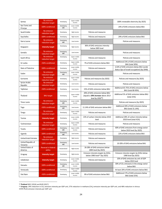| No emission<br>reduction target      | Developing        | Upper-middle<br>income |                                                                                             | 100% renewable electricity (by 2025)                                                   |
|--------------------------------------|-------------------|------------------------|---------------------------------------------------------------------------------------------|----------------------------------------------------------------------------------------|
| 100% conditional                     | Developing<br>LDC | Lower-middle<br>income |                                                                                             | 24% of GHG emissions below BAU                                                         |
| No emission<br>reduction target      | Developing        | High income            | Policies and measures                                                                       |                                                                                        |
| 100% conditional                     | Developing        | High income            | Policies and measures                                                                       | 29% of GHG emissions below BAU                                                         |
| No emission<br>reduction target      | Developing<br>LDC | Low income             |                                                                                             | Policies and measures                                                                  |
| <b>Intensity target</b>              | Developing        | High income            | 36% of GHG emissions intensity<br>below 2005 level                                          |                                                                                        |
| No emission<br>reduction target      | Developing<br>LDC | Low income             |                                                                                             | Policies and measures                                                                  |
| No emission<br>reduction target      | Developing        | Upper-middle<br>income | Policies and measures                                                                       | Policies and measures                                                                  |
| +50% conditional                     | Developing        | Upper-middle<br>income | 7% of GHG emissions below BAU                                                               | Additional 23% of GHG emissions below<br>BAU (total 30%)                               |
| 100% conditional                     | Developing        | Lower-middle<br>income | Policies and measures                                                                       | 12.8% of GHG emissions below BAU (under<br>Status Quo of Israeli occupation) (by 2040) |
| No emission<br>reduction target      | Developing<br>LDC | Lower-middle<br>income |                                                                                             | Policies and measures                                                                  |
| No emission<br>reduction target      | Developing        | Upper-middle<br>income | Policies and measures (by 2025)                                                             | Policies and measures (by 2025)                                                        |
| No emission<br>reduction target      | Developing        | Low income             | Policies and measures                                                                       | Policies and measures                                                                  |
| +50% conditional                     | Developing        | Low income             | 15% of GHG emissions below BAU                                                              | Additional 65-75% of GHG emissions below<br>BAU (total 80-90%)                         |
| <b>BAU target</b>                    | Developing        | Upper-middle<br>income | 20% of GHG emissions below BAU<br>(equals a 39% increase above 2013<br>level by $2030^{90}$ | Additional 5% of GHG emissions below BAU<br>(total 25%)                                |
| No emission<br>reduction target      | Developing<br>LDC | Lower-middle<br>income |                                                                                             | Policies and measures (by 2025)                                                        |
| +50% conditional                     | Developing<br>LDC | Low income             | 11.14% of GHG emissions below BAU                                                           | Additional 20% of GHG emissions below<br>BAU (total 31.14%)                            |
| No emission<br>reduction target      | Developing        | Upper-middle<br>income | Policies and measures                                                                       | Policies and measures                                                                  |
| <b>Intensity target</b>              | Developing        | Lower-middle<br>income | 13% of carbon intensity below 2010<br>level                                                 | Additional 28% of carbon intensity below<br>2010 level (total 41%)                     |
| No emission<br>reduction target      | Developing        | Upper-middle<br>income | Policies and measures                                                                       | Policies and measures                                                                  |
| 100% conditional                     | Developing<br>LDC | Upper-middle<br>income | Policies and measures                                                                       | 60% of GHG emissions from energy sector<br>below 2010 level (by 2025)                  |
| 100% conditional                     | Developing<br>LDC | Low income             | Policies and measures                                                                       | 22% of GHG emissions below BAU                                                         |
| No emission<br>reduction target      | Developing        | High income            | Policies and measures                                                                       |                                                                                        |
| 100% conditional                     | Developing<br>LDC | Low income             | Policies and measures                                                                       | 10-20% of GHG emissions below BAU                                                      |
| <b>Reversal in federal</b><br>policy | Industrialized    | High-income            | 26-28% of GHG emissions below<br>2005 level (by 2025)                                       |                                                                                        |
| <b>Intensity target</b>              | Developing        | High-income            | Emission intensity targets by GHGs<br>below 1990 level <sup>91</sup> (by 2025)              | Emission intensity targets by GHGs below<br>1990 level (by 2025)                       |
| <b>Intensity target</b>              | Developing        | Lower-middle<br>income | Policies and measures                                                                       | 10% of GHG emissions by unit of GDP<br>below 2010 level                                |
|                                      |                   | Lower-middle           |                                                                                             | $30\%$ of CO <sub>2</sub> emissions in the energy sector                               |
| 100% conditional                     | Developing<br>LDC | income                 |                                                                                             | below BAU                                                                              |
| 100% conditional                     | Developing        | Upper-middle<br>income |                                                                                             | At least 20% of GHG emissions below BAU<br>Additional 17% of GHG emissions below       |
|                                      |                   |                        |                                                                                             |                                                                                        |

<span id="page-28-0"></span><sup>90</sup> **Thailand** NDC (2016) and BUR (2017)

<span id="page-28-1"></span><sup>91</sup> **Uruguay**: 24% reduction in CO<sub>2</sub> emission intensity per GDP unit, 57% reduction in methane (CH<sub>4</sub>) emission intensity per GDP unit, and 48% reduction in nitrous oxide (N2O) emission intensity per GDP unit